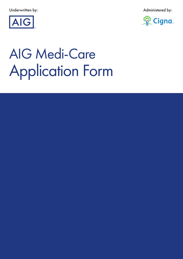Underwritten by: Administered by:





# Application Form AIG Medi-Care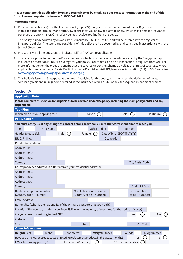#### **Please complete this application form and return it to us by email. See our contact information at the end of this form. Please complete this form in BLOCK CAPITALS.**

#### Important notes:

- 1. Pursuant to Section 25(5) of the Insurance Act (Cap 142)(or any subsequent amendment thereof), you are to disclose in this application form, fully and faithfully, all the facts you know, or ought to know, which may affect the insurance cover you are applying for. Otherwise you may receive nothing from the policy.
- 2. This policy is underwritten by AIG Asia Pacific Insurance Pte. Ltd. ("AIG") and will be entered into the register of Singapore policies. The terms and conditions of this policy shall be governed by and construed in accordance with the laws of Singapore.
- 3. Please answer all the questions or indicate "Nil" or "NA" where applicable.
- 4. This policy is protected under the Policy Owners' Protection Scheme which is administered by the Singapore Deposit Insurance Corporation ("SDIC"). Coverage for your policy is automatic and no further action is required from you. For more information on the types of benefits that are covered under the scheme as well as the limits of coverage, where applicable, please contact AIG Asia Pacific Insurance Pte. Ltd. or visit AIG, Insurance Association (GIA) or SDIC websites (**www.aig.sg, www.gia.org.sg** or **www.sdic.org.sg**).
- 5. This Policy is issued in Singapore. At the time of applying for this policy, you must meet the definition of being "ordinarily resident in Singapore" detailed in the Insurance Act (Cap.142) or any subsequent amendment thereof.

# Section A

| <b>Application Details</b>                          |                                        |                                                                                          |                                                    |                       |                                                                                                                      |                                |  |
|-----------------------------------------------------|----------------------------------------|------------------------------------------------------------------------------------------|----------------------------------------------------|-----------------------|----------------------------------------------------------------------------------------------------------------------|--------------------------------|--|
| dependents.                                         |                                        |                                                                                          |                                                    |                       | Please complete this section for all persons to be covered under the policy, including the main policyholder and any |                                |  |
| <b>Your Plan</b>                                    |                                        |                                                                                          |                                                    |                       |                                                                                                                      |                                |  |
|                                                     | Which plan are you applying for?       |                                                                                          | Silver                                             |                       | Gold                                                                                                                 | Platinum                       |  |
| <b>Policyholder</b>                                 |                                        |                                                                                          |                                                    |                       |                                                                                                                      |                                |  |
|                                                     |                                        |                                                                                          |                                                    |                       | You must notify us of any change of contact details so we can ensure that correspondence reaches you.                |                                |  |
| <b>Title</b>                                        | <b>First Name</b>                      |                                                                                          |                                                    | <b>Other Initials</b> | Surname                                                                                                              |                                |  |
| Gender (please tick)                                |                                        | Male                                                                                     | Female                                             |                       | Date of birth (DD/MM/YYYY)                                                                                           |                                |  |
| NRIC/FIN No.                                        |                                        |                                                                                          |                                                    |                       | Occupation                                                                                                           |                                |  |
| Residential address:                                |                                        |                                                                                          |                                                    |                       |                                                                                                                      |                                |  |
| Address line 1                                      |                                        |                                                                                          |                                                    |                       |                                                                                                                      |                                |  |
| Address line 2                                      |                                        |                                                                                          |                                                    |                       |                                                                                                                      |                                |  |
| Address line 3                                      |                                        |                                                                                          |                                                    |                       |                                                                                                                      |                                |  |
| Country                                             |                                        |                                                                                          |                                                    |                       |                                                                                                                      | Zip/Postal Code                |  |
|                                                     |                                        | Correspondence address (if different from your residential address):                     |                                                    |                       |                                                                                                                      |                                |  |
| Address line 1                                      |                                        |                                                                                          |                                                    |                       |                                                                                                                      |                                |  |
| Address line 2                                      |                                        |                                                                                          |                                                    |                       |                                                                                                                      |                                |  |
| Address line 3                                      |                                        |                                                                                          |                                                    |                       |                                                                                                                      |                                |  |
| Country                                             |                                        |                                                                                          |                                                    |                       |                                                                                                                      | Zip/Postal Code                |  |
| Daytime telephone number<br>(Country code - Number) |                                        |                                                                                          | Mobile telephone number<br>(Country code - Number) |                       |                                                                                                                      | Fax (Country<br>code - Number) |  |
| <b>Email address</b>                                |                                        |                                                                                          |                                                    |                       |                                                                                                                      |                                |  |
|                                                     |                                        | Nationality (What is the nationality of the primary passport that you hold?)             |                                                    |                       |                                                                                                                      |                                |  |
|                                                     |                                        |                                                                                          |                                                    |                       | Location (The country in which you live/will live for the majority of your time for the period of cover)             |                                |  |
|                                                     | Are you currently residing in the USA? |                                                                                          |                                                    |                       | Yes                                                                                                                  | No                             |  |
| <b>Address</b>                                      |                                        |                                                                                          |                                                    |                       |                                                                                                                      |                                |  |
| City                                                |                                        |                                                                                          | <b>State</b>                                       |                       |                                                                                                                      | Zip Code                       |  |
| <b>Other Information</b>                            |                                        |                                                                                          |                                                    |                       |                                                                                                                      |                                |  |
| Height: Feet                                        | Inches                                 | Centimetres                                                                              |                                                    | <b>Weight: Stones</b> | Pounds                                                                                                               | Kilogrammes                    |  |
|                                                     |                                        | Have you smoked, or used tobacco or nicotine replacement products in the last 12 months? |                                                    |                       |                                                                                                                      | Yes<br>No                      |  |
| If Yes, how many per day?                           |                                        |                                                                                          | Less than 20 per day                               |                       | 20 or more per day                                                                                                   |                                |  |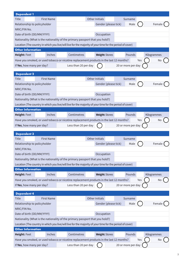| Dependent 1                  |                   |                                                                                                          |                       |                    |             |
|------------------------------|-------------------|----------------------------------------------------------------------------------------------------------|-----------------------|--------------------|-------------|
| <b>Title</b>                 | <b>First Name</b> |                                                                                                          | <b>Other Initials</b> | Surname            |             |
| Relationship to policyholder |                   |                                                                                                          | Gender (please tick)  | Male               | Female      |
| NRIC/FIN No.                 |                   |                                                                                                          |                       |                    |             |
| Date of birth (DD/MM/YYYY)   |                   |                                                                                                          | Occupation            |                    |             |
|                              |                   | Nationality (What is the nationality of the primary passport that you hold?)                             |                       |                    |             |
|                              |                   | Location (The country in which you live/will live for the majority of your time for the period of cover) |                       |                    |             |
| <b>Other Information</b>     |                   |                                                                                                          |                       |                    |             |
| Height: Feet                 | Inches            | Centimetres                                                                                              | <b>Weight: Stones</b> | Pounds             | Kilogrammes |
|                              |                   | Have you smoked, or used tobacco or nicotine replacement products in the last 12 months?                 |                       |                    | Yes<br>No   |
| If Yes, how many per day?    |                   | Less than 20 per day                                                                                     |                       | 20 or more per day |             |
|                              |                   |                                                                                                          |                       |                    |             |
| Dependent 2                  |                   |                                                                                                          |                       |                    |             |
| <b>Title</b>                 | <b>First Name</b> |                                                                                                          | Other Initials        | Surname            |             |
| Relationship to policyholder |                   |                                                                                                          | Gender (please tick)  | Male               | Female      |
| NRIC/FIN No.                 |                   |                                                                                                          |                       |                    |             |
| Date of birth (DD/MM/YYYY)   |                   |                                                                                                          | Occupation            |                    |             |
|                              |                   | Nationality (What is the nationality of the primary passport that you hold?)                             |                       |                    |             |
|                              |                   | Location (The country in which you live/will live for the majority of your time for the period of cover) |                       |                    |             |
| <b>Other Information</b>     |                   |                                                                                                          |                       |                    |             |
| <b>Height: Feet</b>          | Inches            | Centimetres                                                                                              | <b>Weight: Stones</b> | Pounds             | Kilogrammes |
|                              |                   | Have you smoked, or used tobacco or nicotine replacement products in the last 12 months?                 |                       |                    | Yes<br>No   |
| If Yes, how many per day?    |                   | Less than 20 per day                                                                                     |                       | 20 or more per day |             |
| <b>Dependent 3</b>           |                   |                                                                                                          |                       |                    |             |
| Title                        | <b>First Name</b> |                                                                                                          | Other Initials        | Surname            |             |
| Relationship to policyholder |                   |                                                                                                          | Gender (please tick)  | Male               | Female      |
| NRIC/FIN No.                 |                   |                                                                                                          |                       |                    |             |
| Date of birth (DD/MM/YYYY)   |                   |                                                                                                          | Occupation            |                    |             |
|                              |                   | Nationality (What is the nationality of the primary passport that you hold?)                             |                       |                    |             |
|                              |                   | Location (The country in which you live/will live for the majority of your time for the period of cover) |                       |                    |             |
| <b>Other Information</b>     |                   |                                                                                                          |                       |                    |             |
| Height: Feet                 | Inches            | Centimetres                                                                                              | <b>Weight: Stones</b> | Pounds             | Kilogrammes |
|                              |                   | Have you smoked, or used tobacco or nicotine replacement products in the last 12 months?                 |                       |                    | Yes<br>No   |
| If Yes, how many per day?    |                   | Less than 20 per day                                                                                     |                       | 20 or more per day |             |
|                              |                   |                                                                                                          |                       |                    |             |
| <b>Dependent 4</b>           |                   |                                                                                                          |                       |                    |             |
| <b>Title</b>                 | <b>First Name</b> |                                                                                                          | Other Initials        | Surname            |             |
| Relationship to policyholder |                   |                                                                                                          | Gender (please tick)  | Male               | Female      |
| NRIC/FIN No.                 |                   |                                                                                                          |                       |                    |             |
| Date of birth (DD/MM/YYYY)   |                   |                                                                                                          | Occupation            |                    |             |
|                              |                   | Nationality (What is the nationality of the primary passport that you hold?)                             |                       |                    |             |
| <b>Other Information</b>     |                   | Location (The country in which you live/will live for the majority of your time for the period of cover) |                       |                    |             |
|                              | Inches            | Centimetres                                                                                              |                       | Pounds             | Kilogrammes |
| Height: Feet                 |                   |                                                                                                          | <b>Weight: Stones</b> |                    |             |
|                              |                   | Have you smoked, or used tobacco or nicotine replacement products in the last 12 months?                 |                       |                    | Yes<br>No   |
| If Yes, how many per day?    |                   | Less than 20 per day                                                                                     |                       | 20 or more per day |             |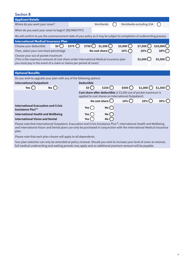# Section B

| <b>Applicant Details</b>                                                                                                |           |       |                                                     |                           |  |                   |                                                                 |          |
|-------------------------------------------------------------------------------------------------------------------------|-----------|-------|-----------------------------------------------------|---------------------------|--|-------------------|-----------------------------------------------------------------|----------|
| Where do you want your cover?                                                                                           |           |       |                                                     | Worldwide                 |  |                   | Worldwide excluding USA                                         |          |
|                                                                                                                         |           |       |                                                     |                           |  |                   |                                                                 |          |
| When do you want your cover to begin? (DD/MM/YYYY)                                                                      |           |       |                                                     |                           |  |                   |                                                                 |          |
| We will confirm to you the commencement date of your policy as it may be subject to completion of underwriting process. |           |       |                                                     |                           |  |                   |                                                                 |          |
| <b>International Medical Insurance Plan</b>                                                                             |           |       |                                                     |                           |  |                   |                                                                 |          |
| Choose your deductible                                                                                                  | \$0()     | \$375 |                                                     | $$750$ \$1,500 $\bigcirc$ |  | \$3,000           | \$7,500                                                         | \$10,000 |
| Then, select your cost share percentage                                                                                 |           |       |                                                     | No cost share $\bigcirc$  |  | $10\%$            | 20%                                                             | 30%      |
| Choose your out of pocket maximum                                                                                       |           |       |                                                     |                           |  |                   |                                                                 |          |
| (This is the maximum amount of cost share under International Medical Insurance plan                                    |           |       |                                                     |                           |  |                   | \$2,000                                                         | \$5,000  |
| you must pay in the event of a claim or claims per period of cover)                                                     |           |       |                                                     |                           |  |                   |                                                                 |          |
|                                                                                                                         |           |       |                                                     |                           |  |                   |                                                                 |          |
|                                                                                                                         |           |       |                                                     |                           |  |                   |                                                                 |          |
| <b>Optional Benefits</b>                                                                                                |           |       |                                                     |                           |  |                   |                                                                 |          |
| Do you wish to upgrade your plan with any of the following options                                                      |           |       |                                                     |                           |  |                   |                                                                 |          |
| <b>International Outpatient</b>                                                                                         |           |       | <b>Deductible</b>                                   |                           |  |                   |                                                                 |          |
| Yes $\bigcirc$                                                                                                          | $No$ $()$ |       | SO(3)                                               | $$150$ $\bigcirc$         |  | $$500$ $\bigcirc$ | $$1,000$ \$1,500                                                |          |
|                                                                                                                         |           |       |                                                     |                           |  |                   | Cost share after deductible (a \$3,000 out of pocket maximum is |          |
|                                                                                                                         |           |       | applied to cost shares on International Outpatient) |                           |  |                   |                                                                 |          |
|                                                                                                                         |           |       |                                                     | No cost share $\bigcirc$  |  | $10\%$ ()         | 20%                                                             | $30\%$ ( |
| <b>International Evacuation and Crisis</b><br><b>Assistance Plus™</b>                                                   |           |       | Yes (                                               | No                        |  |                   |                                                                 |          |
| <b>International Health and Wellbeing</b>                                                                               |           |       | Yes (                                               | No                        |  |                   |                                                                 |          |

Please note that International Outpatient, Evacuation and Crisis Assistance Plus™, International Health and Wellbeing and International Vision and Dental plans can only be purchased in conjunction with the International Medical Insurance plan.

Please note that each plan chosen will apply to all dependents.

Your plan selection can only be amended at policy renewal. Should you wish to increase your level of cover at renewal, full medical underwriting and waiting periods may apply and an additional premium amount will be payable.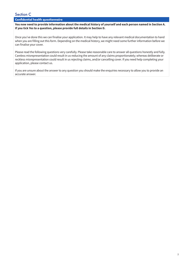# Section C

# **Confidential health questionnaire**

**You now need to provide information about the medical history of yourself and each person named in Section A. If you tick Yes to a question, please provide full details in Section D.** 

Once you've done this we can finalise your application. It may help to have any relevant medical documentation to hand when you are filling out this form. Depending on the medical history, we might need some further information before we can finalise your cover.

Please read the following questions very carefully. Please take reasonable care to answer all questions honestly and fully. Careless misrepresentation could result in us reducing the amount of any claims proportionately; whereas deliberate or reckless misrepresentation could result in us rejecting claims, and/or cancelling cover. If you need help completing your application, please contact us.

If you are unsure about the answer to any question you should make the enquiries necessary to allow you to provide an accurate answer.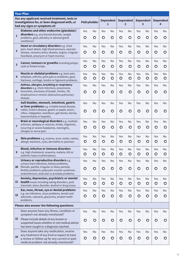|                         | <b>Your Plan</b>                                                                                                                                                                                                                              |                |                      |                |                                  |                |                                    |                |                       |                |                       |
|-------------------------|-----------------------------------------------------------------------------------------------------------------------------------------------------------------------------------------------------------------------------------------------|----------------|----------------------|----------------|----------------------------------|----------------|------------------------------------|----------------|-----------------------|----------------|-----------------------|
|                         | Has any applicant received treatment, tests or<br>investigations for, or been diagnosed with, or<br>had any signs or symptoms of:                                                                                                             |                | Policyholder         |                | <b>Dependent</b><br>$\mathbf{1}$ |                | <b>Dependent</b><br>$\overline{2}$ |                | <b>Dependent</b><br>3 |                | <b>Dependent</b><br>4 |
| $\mathbf{1}$            | Diabetes and other endocrine (glandular)<br>disorders e.g. any thyroid disorder, weight<br>problems, gout, pituitary or adrenal gland<br>conditions?                                                                                          | Yes<br>O       | No<br>$\circ$        | Yes<br>O       | No<br>$\circ$                    | Yes<br>O       | No<br>$\circ$                      | Yes<br>$\circ$ | No<br>$\circ$         | Yes<br>O       | No<br>$\circ$         |
| $\overline{2}$          | Heart or circulatory disorders e.g. chest<br>pain, heart attack, high blood pressure, vascular<br>disease, coronary artery disease, angina, irregular<br>heartbeat, aneurysm or heart murmur.                                                 | Yes<br>$\circ$ | <b>No</b><br>$\circ$ | Yes<br>$\circ$ | No<br>$\circ$                    | Yes<br>$\circ$ | No<br>$\circ$                      | Yes<br>$\circ$ | No<br>$\circ$         | Yes<br>$\circ$ | No<br>$\circ$         |
| $\overline{\mathbf{3}}$ | <b>Cancer, tumours or growths including polyps,</b><br>cysts or breast lumps.                                                                                                                                                                 | Yes<br>$\circ$ | No<br>$\circ$        | Yes<br>$\circ$ | No<br>$\circ$                    | Yes<br>$\circ$ | No<br>$\circ$                      | Yes<br>$\circ$ | No<br>$\circ$         | Yes<br>$\circ$ | No<br>$\circ$         |
| 4                       | Muscle or skeletal problems e.g. back pain,<br>whiplash, arthritis, joint pain or problems, gout,<br>fractures, cartilage, tendon or ligament problems.                                                                                       | Yes<br>$\circ$ | No<br>$\circ$        | Yes<br>$\circ$ | No<br>$\circ$                    | Yes<br>$\circ$ | No<br>$\circ$                      | Yes<br>$\circ$ | No<br>$\circ$         | Yes<br>$\circ$ | No<br>$\circ$         |
| 5                       | Asthma, allergies, breathing or respiratory<br>disorders e.g. chest infections, pneumonia,<br>bronchitis, shortness of breath, rhinitis, TB,<br>emphysema or chronic obstructive pulmonary<br>disease.                                        | Yes<br>$\circ$ | No<br>O              | Yes<br>O       | <b>No</b><br>O                   | Yes<br>$\circ$ | <b>No</b><br>$\circ$               | Yes<br>$\circ$ | No<br>$\circ$         | Yes<br>$\circ$ | No<br>$\circ$         |
| 6                       | Gall bladder, stomach, intestinal, gastric<br>or liver problems e.g. irritable bowel disease,<br>colitis, Crohn's disease, gastric or peptic ulcers,<br>reflux, indigestion, heartburn, gall stones, hernia,<br>haemorrhoids or hepatitis.    | Yes<br>$\circ$ | <b>No</b><br>O       | Yes<br>O       | <b>No</b><br>O                   | Yes<br>O       | <b>No</b><br>O                     | Yes<br>$\circ$ | No<br>$\circ$         | Yes<br>O       | No<br>$\circ$         |
| $\overline{7}$          | Brain or neurological disorders e.g. multiple<br>sclerosis, epilepsy or seizures, stroke, migraines,<br>recurring or severe headaches, meningitis,<br>shingles or nerve pain.                                                                 | Yes<br>O       | <b>No</b><br>O       | Yes<br>$\circ$ | <b>No</b><br>O                   | Yes<br>$\circ$ | No<br>O                            | Yes<br>O       | No<br>$\circ$         | Yes<br>O       | No<br>O               |
| 8                       | Skin problems e.g. eczema, acne, moles, rashes,<br>allergic reactions, cysts, dermatitis or psoriasis                                                                                                                                         | Yes<br>O       | No<br>O              | Yes<br>O       | <b>No</b><br>O                   | Yes<br>O       | No<br>O                            | Yes<br>$\circ$ | No<br>O               | Yes<br>O       | No<br>O               |
| 9                       | <b>Blood, infective or immune disorders</b><br>e.g. high cholesterol, anaemia, malaria, HIV or<br>systemic lupus erythematosus.                                                                                                               | Yes<br>$\circ$ | No<br>$\circ$        | Yes<br>$\circ$ | No<br>$\circ$                    | Yes<br>$\circ$ | No<br>$\circ$                      | Yes<br>$\circ$ | No<br>$\circ$         | Yes<br>$\circ$ | No<br>$\circ$         |
| 10                      | Urinary or reproductive disorders e.g.<br>urinary tract infections, kidney problems,<br>fibroids, painful, irregular or heavy periods,<br>fertility problems, polycystic ovarian syndrome,<br>endometriosis, testicular or prostate problems. | Yes<br>$\circ$ | No<br>$\circ$        | Yes<br>$\circ$ | No<br>O                          | Yes<br>$\circ$ | No<br>$\circ$                      | Yes<br>$\circ$ | No<br>$\circ$         | Yes<br>$\circ$ | No<br>$\circ$         |
| 11                      | Anxiety, depression, psychiatric or mental<br>health issues including eating disorders, post-<br>traumatic stress disorder, alcohol or drug issues.                                                                                           | Yes<br>$\circ$ | No<br>$\circ$        | Yes<br>$\circ$ | No<br>$\circ$                    | Yes<br>$\circ$ | No<br>$\circ$                      | Yes<br>$\circ$ | No<br>$\circ$         | Yes<br>$\circ$ | No<br>$\circ$         |
| 12                      | Ear, nose, throat, eye or dental problems<br>e.g. ear infections, sinus problems, tonsils and<br>adenoids, cataracts, glaucoma, wisdom teeth<br>problems.                                                                                     | Yes<br>$\circ$ | No<br>$\circ$        | Yes<br>$\circ$ | <b>No</b><br>$\circ$             | Yes<br>$\circ$ | No<br>$\circ$                      | Yes<br>$\circ$ | No<br>$\circ$         | Yes<br>$\circ$ | No<br>$\circ$         |
|                         | Please also answer the following questions:                                                                                                                                                                                                   |                |                      |                |                                  |                |                                    |                |                       |                |                       |
| 13                      | Does anyone have any illness, condition or<br>symptom not already mentioned?<br>Please include details of any known or                                                                                                                        | Yes<br>$\circ$ | No<br>$\circ$        | Yes<br>$\circ$ | No<br>$\circ$                    | Yes<br>$\circ$ | No<br>$\circ$                      | Yes<br>$\circ$ | No<br>$\circ$         | Yes<br>$\circ$ | No<br>$\circ$         |
|                         | suspected issues whether or not medical advice<br>has been sought or a diagnosis reached.                                                                                                                                                     |                |                      |                |                                  |                |                                    |                |                       |                |                       |
| 14                      | Does anyone take any medication, receive<br>any treatment of any kind or expect to have<br>a review or follow up for any current or past<br>medical problem not already mentioned?                                                            | Yes<br>$\circ$ | No<br>$\circ$        | Yes<br>$\circ$ | No<br>O                          | Yes<br>$\circ$ | No<br>$\circ$                      | Yes<br>$\circ$ | No<br>$\circ$         | Yes<br>$\circ$ | No<br>$\circ$         |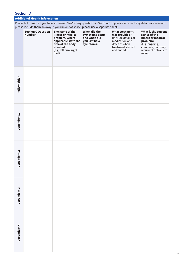# Section D

# **Additional Health Information**

Please tell us more if you have answered 'Yes' to any questions in Section C. If you are unsure if any details are relevant, please include them anyway. If you run out of space, please use a separate sheet.

|                        | <b>Section C Question</b><br><b>Number</b> | The name of the<br>illness or medical<br>problem. Where<br>applicable state the<br>area of the body<br>affected<br>(e.g. left arm, right<br>foot). | When did the<br>symptoms occur<br>and when did<br>you last have<br>symptoms? | <b>What treatment</b><br>was provided?<br>(Include details of<br>medication and<br>dates of when<br>treatment started<br>and ended.) | What is the current<br>status of the<br>illness or medical<br>problem?<br>(E.g. ongoing,<br>complete, recovery,<br>recurrent or likely to<br>recur.) |
|------------------------|--------------------------------------------|----------------------------------------------------------------------------------------------------------------------------------------------------|------------------------------------------------------------------------------|--------------------------------------------------------------------------------------------------------------------------------------|------------------------------------------------------------------------------------------------------------------------------------------------------|
| Policyholder           |                                            |                                                                                                                                                    |                                                                              |                                                                                                                                      |                                                                                                                                                      |
| Dependent <sub>1</sub> |                                            |                                                                                                                                                    |                                                                              |                                                                                                                                      |                                                                                                                                                      |
| Dependent <sub>2</sub> |                                            |                                                                                                                                                    |                                                                              |                                                                                                                                      |                                                                                                                                                      |
| Dependent 3            |                                            |                                                                                                                                                    |                                                                              |                                                                                                                                      |                                                                                                                                                      |
| Dependent 4            |                                            |                                                                                                                                                    |                                                                              |                                                                                                                                      |                                                                                                                                                      |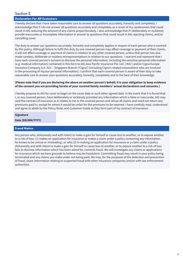# Section E

#### **Declaration For All Customers**

I hereby declare that I have taken reasonable care to answer all questions accurately, honestly and completely. I acknowledge that if I do not answer all questions accurately and completely as a result of my carelessness that could result in AIG reducing the amount of any claims proportionately. I also acknowledge that if I deliberately or recklessly provide inaccurate or incomplete information in answer to questions that could result in AIG rejecting claims, and/or cancelling cover.

The duty to answer our questions accurately, honestly and completely applies in respect of each person who is covered by this policy. Although failure to fulfil this duty by one covered person may affect coverage or payment of their claims, it will not affect coverage or payment of claims in relation to any other covered person, unless that person has also made careless, deliberate or reckless misrepresentations in relation to our questions. I warrant and represent that I have each covered person's consent to disclose the personal information, including the sensitive personal information (e.g. medical information) contained in this form to AIG Asia Pacific Insurance Pte. Ltd. ('AIG') and/or Cigna Europe Insurance Company S.A.-N.V. – Singapore Branch ('Cigna') (including Cigna's related corporations who are involved in the processing of my/our personal information). I confirm that each covered person is aware of their duty to take reasonable care to answer your questions accurately, honestly, completely and to the best of their knowledge.

#### **(Please note that if you are declaring the above on another person's behalf, it is your obligation to keep evidence of the consent you are providing hereto of your covered family members' actual declarations and consents.)**

I hereby propose to AIG for cover to begin on the cover date or such other agreed date. In the event that it is found that I, or any covered person, have deliberately or recklessly provided any information which is false or inaccurate, AIG may void the contract of insurance as it relates to me or the covered person and refuse all claims and need not return any premiums paid in, except for where it would be unfair for the premiums to be retained. I have carefully read, understood and agree to abide by the Policy Rules and Customer Guide as they form part of my contract of insurance.

#### **Signature**

#### **Date (DD/MM/YYYY)**

#### **Fraud Notice**

Any person who, dishonestly and with intent to make a gain for himself or cause loss to another, or to expose another to a risk of loss: (1) makes an application for insurance or makes a claim under a policy containing any information he knows to be untrue or misleading ; or who (2) in making an application for insurance or a claim under a policy dishonestly and with intent to make a gain for himself or cause loss to another, or to expose another to a risk of loss fails to disclose information which has been asked for, commits fraud. We will investigate any claims or applications for insurance which we have grounds to believe may be fraudulent. Committing fraud may result in your policy being terminated and any claims you make under not being paid. We may, for the purposes of the detection and prevention of fraud, share information relating to suspected fraud with other insurance companies and/or with law enforcement authorities.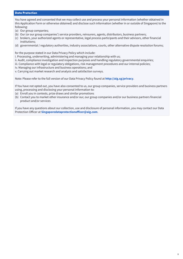#### **Data Protection**

You have agreed and consented that we may collect use and process your personal information (whether obtained in this Application Form or otherwise obtained) and disclose such information (whether in or outside of Singapore) to the following:

- (a) Our group companies;
- (b) Our (or our group companies') service providers, reinsurers, agents, distributors, business partners;
- (c) brokers, your authorized agents or representative, legal process participants and their advisors, other financial institutions;
- (d) governmental / regulatory authorities, industry associations, courts, other alternative dispute resolution forums;

for the purpose stated in our Data Privacy Policy which include:

i. Processing, underwriting, administering and managing your relationship with us;

ii. Audit, compliance investigation and inspection purposes and handling regulatory governmental enquiries;

- iii. Compliance with legal or regulatory obligations, risk management procedures and our internal policies;
- iv. Managing our infrastructure and business operations; and

v. Carrying out market research and analysis and satisfaction surveys.

Note: Please refer to the full version of our Data Privacy Policy found at **http://aig.sg/privacy**.

If You have not opted out, you have also consented to us, our group companies, service providers and business partners using, processing and disclosing your personal information to:

- (a) Enroll you in contests, prize draws and similar promotions
- (b) Contact you to market other insurance and/or our, our group companies and/or our business partners financial product and/or services

If you have any questions about our collection, use and disclosure of personal information, you may contact our Data Protection Officer at **Singaporedataprotectionofficer@aig.com**.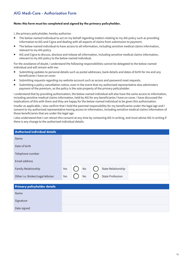# AIG Medi-Care - Authorisation Form

#### **Note: this form must be completed and signed by the primary policyholder.**

I, the primary policyholder, hereby authorise:

- The below-named individual to act on my behalf regarding matters relating to my AIG policy such as providing information to AIG and Cigna and dealing with all aspects of claims from submission to payment.
- The below-named individual to have access to all information, including sensitive medical claims information, relevant to my AIG policy.
- AIG and Cigna to discuss, disclose and release all information, including sensitive medical claims information, relevant to my AIG policy to the below-named individual.

For the avoidance of doubt, I understand the following responsibilities cannot be delegated to the below-named individual and will remain with me:

- Submitting updates to personal details such as postal addresses, bank details and dates of birth for me and any beneficiaries I have on cover.
- Submitting requests regarding my website account such as access and password reset requests.
- Submitting a policy cancellation notice, even in the event that my authorised representative also administers payment of the premium, as the policy is the sole property of the primary policyholder.

I understand that by providing authorisation, the below-named individual will also have the same access to information, including sensitive medical claims information, held by AIG for any beneficiaries I have on cover. I have discussed the implications of this with them and they are happy for the below-named individual to be given this authorisation.

Insofar as applicable, I also confirm that I hold the parental responsibility for my beneficiaries under the legal age and I consent to my authorised representative having access to information, including sensitive medical claims information of those beneficiaries that are under the legal age.

I also understand that I can retract this consent at any time by contacting AIG in writing, and must advise AIG in writing if there is any change to the authorised individual details.

| <b>Authorised individual details</b> |     |    |                         |  |
|--------------------------------------|-----|----|-------------------------|--|
| Name                                 |     |    |                         |  |
| Date of birth                        |     |    |                         |  |
| Telephone number                     |     |    |                         |  |
| Email address                        |     |    |                         |  |
| Family Relationship                  | Yes | No | State Relationship      |  |
| Other i.e. Broker/Legal Advisor      | Yes | No | <b>State Profession</b> |  |

| Primary policyholder details |  |
|------------------------------|--|
| Name                         |  |
| Signature                    |  |
| Date signed                  |  |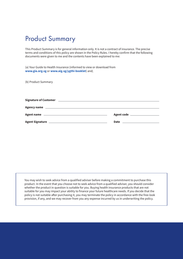# Product Summary

This Product Summary is for general information only. It is not a contract of insurance. The precise terms and conditions of this policy are shown in the Policy Rules. I hereby confirm that the following documents were given to me and the contents have been explained to me:

(a) Your Guide to Health Insurance (informed to view or download from **www.gia.org.sg** or **www.aig.sg/ygthi-booklet**) and;

(b) Product Summary

| <b>Signature of Customer</b><br><u> 1989 - Johann Stoff, deutscher Stoff, der Stoff, der Stoff, der Stoff, der Stoff, der Stoff, der Stoff, der S</u> |                            |
|-------------------------------------------------------------------------------------------------------------------------------------------------------|----------------------------|
|                                                                                                                                                       |                            |
| Agent name <u>and the community of the contract of the contract of the contract of the contract of the contract of</u>                                | Agent code _______________ |
|                                                                                                                                                       | <b>Date</b>                |

You may wish to seek advice from a qualified adviser before making a commitment to purchase this product. In the event that you choose not to seek advice from a qualified adviser, you should consider whether the product in question is suitable for you. Buying health insurance products that are not suitable for you may impact your ability to finance your future healthcare needs. If you decide that the policy is not suitable after purchasing it, you may terminate the policy in accordance with the free-look provision, if any, and we may recover from you any expense incurred by us in underwriting the policy.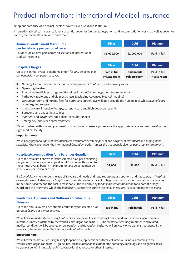# Product Information: International Medical Insurance

*Our* plans comprise of 3 distinct levels of cover: Silver, Gold and Platinum.

International Medical Insurance is *your* essential cover for *inpatient*, *daypatient* and accommodation costs, as well as cover for cancer, mental health care and much more.

| <b>Annual Overall Benefit Maximum -</b>                                                                                     | <b>Silver</b>                       | <b>Gold</b>                  | <b>Platinum</b>                     |
|-----------------------------------------------------------------------------------------------------------------------------|-------------------------------------|------------------------------|-------------------------------------|
| per beneficiary per period of cover<br>This includes claims paid across all sections of International<br>Medical Insurance. | \$1,000,000                         | \$2,000,000                  | Paid in full                        |
| <b>Hospital Charges</b>                                                                                                     | <b>Silver</b>                       | <b>Gold</b>                  | <b>Platinum</b>                     |
| Up to the annual overall benefit maximum for your selected plan<br>per beneficiary per period of cover.                     | Paid in full<br><b>Private room</b> | Paid in full<br>Private room | Paid in full<br><b>Private room</b> |

- Nursing & accommodation for *inpatient* & *daypatient treatment*, and recovery room
- Operating theatre
- Prescribed medicines, drugs and dressings for *inpatient* or *daypatient treatment* only
- Pathology, radiology and diagnostic tests (excluding Advanced Medical Imaging)
- *Treatment* room and nursing fees for *outpatient* surgery (*we* will only provide the nursing fees whilst a *beneficiary* is undergoing surgery)
- Intensive care: intensive therapy, coronary care and high dependency unit
- Surgeons' and anaesthetists' fees
- *Inpatient* and *daypatient* specialists' consultation fees
- Emergency *inpatient* dental *treatment*.

*We* will partner with *you* and *your medical practitioner* to ensure *you* receive the appropriate care and *treatment* in the right medical facility.

#### Important note:

*We* will only pay for *outpatient treatments* received before or after *inpatient* and *daypatient treatments* and *surgery* if the *beneficiary* has cover under the International *Outpatient* option (unless the *treatment* is given as part of *cancer treatment*).

| <b>Hospital Accommodation for a Parent or Guardian</b>                                                                                                                                                                                          | <b>Silver</b> | <b>Gold</b> | <b>Platinum</b> |
|-------------------------------------------------------------------------------------------------------------------------------------------------------------------------------------------------------------------------------------------------|---------------|-------------|-----------------|
| Up to the total limit shown for your selected plan per beneficiary<br>per period of cover or, where "paid in full" is shown, this is up to<br>the annual overall benefit maximum for your selected plan per<br>beneficiary per period of cover. | \$1,000       | \$1,000     | Paid in full    |

If a *beneficiary* who is under the age of 18 years old needs and requires *inpatient treatment* and has to stay in *hospital* overnight, *we* will also pay for *hospital* accommodation for a parent or legal guardian, if accommodation is available in the same *hospital* and the cost is reasonable. *We* will only pay for *hospital accommodation* for a parent or legal guardian if the *treatment* which the *beneficiary* is receiving during their stay in *hospital* is covered under this *policy*.

| <b>Pandemics, Epidemics and Outbreaks of Infectious</b>                                                                     | <b>Silver</b> | <b>Gold</b>  | <b>Platinum</b> |
|-----------------------------------------------------------------------------------------------------------------------------|---------------|--------------|-----------------|
| <b>Illnesses</b><br>Up to the annual overall benefit maximum for your selected plan<br>per beneficiary per period of cover. | Paid in full  | Paid in full | Paid in full    |

*We* will pay for *medically necessary treatment* for disease or illness resulting from a pandemic, epidemic or outbreak of infectious illness, as defined by the World Health Organisation (WHO). The *medically necessary treatment* and related medical conditions will be covered on an *inpatient* and *daypatient* basis. *We* will only pay for *outpatient treatments* if the *beneficiary* has cover under the International *Outpatient* option.

#### Important note:

*We* will cover *medically necessary* testing for pandemic, epidemic or outbreak of infectious illness, according to the World Health Organization (WHO) guidelines, on an *outpatient* basis under the pathology, radiology and diagnostic tests *outpatient* benefit in line with *policy* coverage for diagnostics for other illnesses.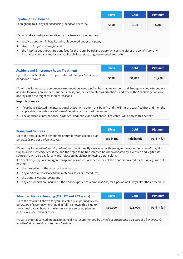|                                                                                                              | <b>Silver</b> | <b>Gold</b> | <b>Platinum</b> |
|--------------------------------------------------------------------------------------------------------------|---------------|-------------|-----------------|
| <b>Inpatient Cash Benefit</b><br>Per night up to 30 days per beneficiary per period of cover.                | \$100         | \$100       | \$200           |
| We will make a cash payment directly to a beneficiary when they:                                             |               |             |                 |
| receive treatment in hospital which is covered under this plan;                                              |               |             |                 |
| stay in a <i>hospital overnight;</i> and                                                                     |               |             |                 |
| the hospital does not charge any fees for the room, board and treatment costs to either the beneficiary, any |               |             |                 |

| <b>Accident and Emergency Room Treatment</b>                                               | <b>Silver</b> | <b>Gold</b> | <b>Platinum</b> |
|--------------------------------------------------------------------------------------------|---------------|-------------|-----------------|
| Up to the total limit shown for your selected plan per beneficiary<br>per period of cover. | \$500         | \$1,000     | \$1,200         |

Insurance company and/or any applicable local state or governmental authority.

*We* will pay for necessary *emergency treatment* on an *outpatient* basis at an Accident and Emergency department in a *hospital* following an accident, sudden illness, and/or life threatening situations, and where the *beneficiary* does not occupy a bed overnight for medical reasons.

#### Important notes:

- If *you* have selected the International *Outpatient* option; this benefit and the limits are satisfied first and then the applicable International *Outpatient* benefits can be used thereafter.
- The applicable International *Outpatient* deductible and cost share (if selected) will apply to this benefit.

| <b>Transplant Services</b>                                                                              | <b>Silver</b> | <b>Gold</b>  | <b>Platinum</b> |
|---------------------------------------------------------------------------------------------------------|---------------|--------------|-----------------|
| Up to the annual overall benefit maximum for your selected plan<br>per beneficiary per period of cover. | Paid in full  | Paid in full | Paid in full    |

*We* will pay for *inpatient* and *daypatient treatment* directly associated with an organ transplant for a *beneficiary* if a transplant is *medically necessary*, and the organ to be transplanted has been donated by a verified and legitimate source. *We* will also pay for any anti-rejection medicines following a transplant.

If a *beneficiary* requires an organ transplant (regardless of whether or not the donor is covered for this *policy*) *we* will pay for:

- the harvesting of the organ or bone marrow;
- any *medically necessary* tissue matching tests or procedures;
- the donor's *hospital costs*; and
- ny costs which are incurred if the donor experiences complications, for a period of 30 days after their procedure.

| <b>Advanced Medical Imaging (MRI, CT and PET scans)</b>                                                                                                                                                                                         | <b>Silver</b> | <b>Gold</b> | <b>Platinum</b> |
|-------------------------------------------------------------------------------------------------------------------------------------------------------------------------------------------------------------------------------------------------|---------------|-------------|-----------------|
| Up to the total limit shown for your selected plan per beneficiary<br>per period of cover or, where "paid in full" is shown, this is up to<br>the annual overall benefit maximum for your selected plan per<br>beneficiary per period of cover. | \$10,000      | \$15,000    | Paid in full    |

*We* will pay for advanced medical imaging if it is recommended by a *medical practitioner* as a part of a *beneficiary's inpatient, daypatient* or *outpatient treatment*.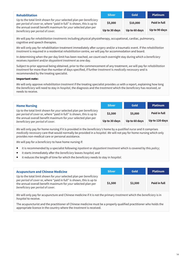| <b>Rehabilitation</b>                                                                                                                      | <b>Silver</b> | <b>Gold</b>   | <b>Platinum</b> |
|--------------------------------------------------------------------------------------------------------------------------------------------|---------------|---------------|-----------------|
| Up to the total limit shown for your selected plan per beneficiary<br>per period of cover or, where "paid in full" is shown, this is up to | \$5,000       | \$10,000      | Paid in full    |
| the annual overall benefit maximum for your selected plan per<br>beneficiary per period of cover.                                          | Up to 30 days | Up to 60 days | Up to 90 days   |

*We* will pay for *rehabilitation treatments* including physical physiotherapy, occupational, cardiac, pulmonary, cognitive and speech therapies.

*We* will only pay for rehabilitation treatment immediately after *surgery* and/or a traumatic event. If the *rehabilitation treatment* is required in a residential *rehabilitation* centre, *we* will pay for accommodation and board.

In determining when the per day limit has been reached, *we* count each overnight stay during which a *beneficiary* receives *inpatient* and/or *daypatient treatment* as one day.

Subject to prior approval being obtained, prior to the commencement of any treatment, *we* will pay for *rehabilitation treatment* for more than the number of days specified, if further *treatment* is *medically necessary* and is recommended by the treating specialist.

#### Important note:

*We* will only approve *rehabilitation treatment* if the treating specialist provides *us* with a report, explaining how long the *beneficiary* will need to stay in *hospital*, the diagnosis and the *treatment* which the *beneficiary* has received, or needs to receive.

| <b>Home Nursing</b>                                                                                                                        | <b>Silver</b> | Gold          | <b>Platinum</b>     |
|--------------------------------------------------------------------------------------------------------------------------------------------|---------------|---------------|---------------------|
| Up to the total limit shown for your selected plan per beneficiary<br>per period of cover or, where "paid in full" is shown, this is up to | \$2,500       | \$5,000       | <b>Paid in full</b> |
| the annual overall benefit maximum for your selected plan per<br>beneficiary per period of cover.                                          | Up to 30 days | Up to 60 days | Up to 120 days      |

*We* will only pay for home nursing if it is provided in the *beneficiary's* home by a *qualified nurse* and it comprises *medically necessary* care that would normally be provided in a *hospital. We* will not pay for home nursing which only provides non-medical care or personal assistance.

*We* will pay for a *beneficiary* to have home nursing if:

- it is recommended by a specialist following *inpatient* or *daypatient treatment* which is covered by this *policy*;
- it starts immediately after the *beneficiary* leaves *hospital;* and
- it reduces the length of time for which the *beneficiary* needs to stay in *hospital*.

| <b>Acupuncture and Chinese Medicine</b>                                                                                                                                                                                                         | <b>Silver</b> | <b>Gold</b> | <b>Platinum</b> |
|-------------------------------------------------------------------------------------------------------------------------------------------------------------------------------------------------------------------------------------------------|---------------|-------------|-----------------|
| Up to the total limit shown for your selected plan per beneficiary<br>per period of cover or, where "paid in full" is shown, this is up to<br>the annual overall benefit maximum for your selected plan per<br>beneficiary per period of cover. | \$1,500       | \$2,500     | Paid in full    |

*We* will only pay for acupuncture and Chinese medicine if it is not the primary *treatment* which the *beneficiary* is in *hospital* to receive.

The acupuncturist and the practitioner of Chinese medicine must be a properly qualified practitioner who holds the appropriate licence in the country where the *treatment* is received.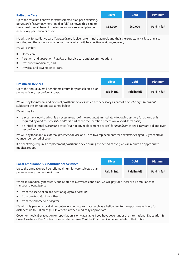| <b>Palliative Care</b>                                                                                                                                                                                                                          | <b>Silver</b> | <b>Gold</b> | <b>Platinum</b>     |  |
|-------------------------------------------------------------------------------------------------------------------------------------------------------------------------------------------------------------------------------------------------|---------------|-------------|---------------------|--|
| Up to the total limit shown for your selected plan per beneficiary<br>per period of cover or, where "paid in full" is shown, this is up to<br>the annual overall benefit maximum for your selected plan per<br>beneficiary per period of cover. | \$35,000      | \$60,000    | <b>Paid in full</b> |  |
| We will pay for palliative care if a beneficiary is given a terminal diagnosis and their life expectancy is less than six<br>months, and there is no available <i>treatment</i> which will be effective in aiding recovery.                     |               |             |                     |  |

*We* will pay for:

- Home care;
- *Inpatient* and *daypatient hospital* or hospice care and accommodation;
- Prescribed medicines; and
- Physical and psychological care.

| <b>Prosthetic Devices</b>                                                                               | <b>Silver</b> | <b>Gold</b>  | <b>Platinum</b> |
|---------------------------------------------------------------------------------------------------------|---------------|--------------|-----------------|
| Up to the annual overall benefit maximum for your selected plan<br>per beneficiary per period of cover. | Paid in full  | Paid in full | Paid in full    |

*We* will pay for internal and external *prosthetic devices* which are necessary as part of a *beneficiary's treatment*, subject to the limitations explained below.

*We* will pay for:

- a *prosthetic device* which is a necessary part of the *treatment* immediately following *surgery* for as long as is required by *medical necessity* and/or is part of the recuperation process on a short-term basis;
- an initial external *prosthetic* device (but not any replacement devices) for *beneficiaries* aged 18 years old and over per *period of cover*.

*We* will pay for an initial external *prosthetic* device and up to two replacements for *beneficiaries* aged 17 years old or younger per period of cover.

If a *beneficiary* requires a replacement *prosthetic* device during the period of over, *we* will require an appropriate medical report.

| <b>Local Ambulance &amp; Air Ambulance Services</b>                                                     | <b>Silver</b> | <b>Gold</b>  | <b>Platinum</b> |
|---------------------------------------------------------------------------------------------------------|---------------|--------------|-----------------|
| Up to the annual overall benefit maximum for your selected plan<br>per beneficiary per period of cover. | Paid in full  | Paid in full | Paid in full    |

Where it is medically necessary and related to a covered condition, *we* will pay for a local or air ambulance to transport a *beneficiary*:

- from the scene of an accident or *injury* to a *hospital*;
- from one *hospital* to another; or
- from their home to a *hospital*.

*We* will only pay for a local air ambulance when appropriate, such as a helicopter, to transport a *beneficiary* for distances up to 100 miles (160 kilometres) when medically appropriate.

Cover for medical evacuation or repatriation is only available if you have cover under the International Evacuation & Crisis Assistance Plus™ option. Please refer to page 25 of the Customer Guide for details of that option.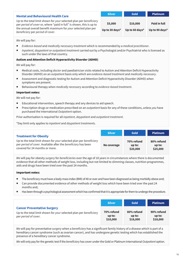| <b>Mental and Behavioural Health Care</b>                                                                                                                                                                                                       | <b>Silver</b>             | <b>Gold</b>                | <b>Platinum</b>                       |
|-------------------------------------------------------------------------------------------------------------------------------------------------------------------------------------------------------------------------------------------------|---------------------------|----------------------------|---------------------------------------|
| Up to the total limit shown for your selected plan per beneficiary<br>per period of cover or, where "paid in full" is shown, this is up to<br>the annual overall benefit maximum for your selected plan per<br>beneficiary per period of cover. | \$5,000<br>Up to 30 days* | \$10,000<br>Up to 60 days* | <b>Paid in full</b><br>Up to 90 days* |

#### *We* will pay for:

- *Evidence-based* and *medically necessary treatment* which is recommended by a *medical practitioner*.
- *Inpatient, daypatient* or *outpatient treatment* carried out by a Psychologist and/or Psychiatrist who is licensed as such under the laws of that country.

#### Autism and Attention Deficit Hyperactivity Disorder (ADHD)

*We* will pay for:

- Medical costs, including *doctor* and paediatrician visits related to Autism and Attention Deficit Hyperactivity Disorder (ADHD) on an *outpatient* basis only which are *evidence-based treatment* and *medically necessary*.
- Assessment and diagnostic testing for Autism and Attention Deficit Hyperactivity Disorder (ADHD) when symptoms are present.
- Behavioural therapy when *medically necessary* according to *evidence-based treatment*.

#### Important notes:

*We* will not pay for:

- Educational intervention, speech therapy and any devices to aid speech.
- Prescription drugs or medication prescribed on an *outpatient* basis for any of these conditions, unless *you* have purchased the International *Outpatient* option.

Prior authorisation is required for all *inpatient, daypatient* and *outpatient treatment*.

\*Day limit only applies to *inpatient* and *daypatient treatments*.

| <b>Treatment for Obesity</b>                                       | <b>Silver</b> | <b>Gold</b> | <b>Platinum</b> |
|--------------------------------------------------------------------|---------------|-------------|-----------------|
| Up to the total limit shown for your selected plan per beneficiary | No coverage   | 70% refund  | 80% refund      |
| per period of cover. Available after the beneficiary has been      |               | $up$ to:    | up to:          |
| covered for 24 months or more.                                     |               | \$20,000    | \$25,000        |

*We* will pay for obesity *surgery* for *beneficiaries* over the age of 18 years in circumstances where there is documented evidence that all other methods of weight loss, including but not limited to slimming classes, nutrition programmes, aids and drugs have been tried over the past 24 months.

#### Important notes:

- The *beneficiary* must have a body mass index (BMI) of 40 or over and have been diagnosed as being morbidly obese and;
- Can provide documented evidence of other methods of weight loss which have been tried over the past 24 months and;
- Has been through a psychological assessment which has confirmed that it is appropriate for them to undergo the procedure.

|                                                                    | <b>Silver</b> | Gold       | <b>Platinum</b> |
|--------------------------------------------------------------------|---------------|------------|-----------------|
| <b>Cancer Preventative Surgery</b>                                 | 70% refund    | 80% refund | 90% refund      |
| Up to the total limit shown for your selected plan per beneficiary | up to:        | up to:     | $up$ to:        |
| per period of cover.                                               | \$10,000      | \$18,000   | \$18,000        |

*We* will pay for preventative *surgery* when a *beneficiary* has a significant family history of a disease which is part of a hereditary cancer syndrome (such as ovarian cancer), and has undergone genetic testing which has established the presence of a hereditary cancer syndrome.

*We* will only pay for the genetic test if the *beneficiary* has cover under the Gold or Platinum International *Outpatient* option.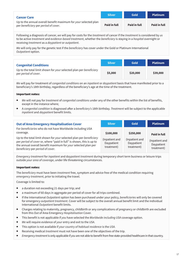| <b>Cancer Care</b>                                                                                      | <b>Silver</b> | <b>Gold</b>         | <b>Platinum</b> |
|---------------------------------------------------------------------------------------------------------|---------------|---------------------|-----------------|
| Up to the annual overall benefit maximum for your selected plan<br>per beneficiary per period of cover. | Paid in full  | <b>Paid in full</b> | Paid in full    |

Following a diagnosis of cancer, *we* will pay for costs for the *treatment* of cancer if the *treatment* is considered by *us* to be active *treatment* and e*vidence-based treatment*, whether the *beneficiary* is staying in a *hospital* overnight or receiving *treatment* as a *daypatient* or *outpatient*.

*We* will only pay for the genetic test if the *beneficiary* has cover under the Gold or Platinum International *Outpatient* option.

| <b>Congenital Conditions</b>                                                               | <b>Silver</b> | <b>Gold</b> | <b>Platinum</b> |
|--------------------------------------------------------------------------------------------|---------------|-------------|-----------------|
| Up to the total limit shown for your selected plan per beneficiary<br>per period of cover. | \$5,000       | \$20,000    | \$39,000        |

*We* will pay for treatment of *congenital conditions* on an *inpatient* or *daypatient* basis that have manifested prior to a beneficiary's 18th birthday, regardless of the beneficiary's age at the time of the treatment.

#### Important notes:

- *We* will not pay for *treatment* of *congenital conditions* under any of the other benefits within the list of benefits, except in the instance where;
- A *congenital condition* is diagnosed after a *beneficiary's* 18th birthday. *Treatment* will be subject to the applicable *inpatient* and *daypatient* benefit limits.

| <b>Out of Area Emergency Hospitalisation Cover</b>                                                                                                                                                                                              | <b>Silver</b>                              | <b>Gold</b>                                | <b>Platinum</b>                            |
|-------------------------------------------------------------------------------------------------------------------------------------------------------------------------------------------------------------------------------------------------|--------------------------------------------|--------------------------------------------|--------------------------------------------|
| For beneficiaries who do not have Worldwide including USA<br>coverage.                                                                                                                                                                          | \$100,000                                  | \$250,000                                  | Paid in full                               |
| Up to the total limit shown for your selected plan per beneficiary<br>per period of cover or, where "paid in full" is shown, this is up to<br>the annual overall benefit maximum for your selected plan per<br>beneficiary per period of cover. | (Inpatient and<br>Daypatient<br>treatment) | (Inpatient and<br>Daypatient<br>treatment) | (Inpatient and<br>Daypatient<br>treatment) |

*Emergency treatment* for *inpatient* and d*aypatient treatment* during temporary short term business or leisure trips outside *your area of coverage*, under life threatening circumstances.

#### Important notes:

The *beneficiary* must have been *treatment* free, symptom and advice free of the medical condition requiring *emergency treatment*, prior to initiating the travel.

Coverage is limited to:

- a duration not exceeding 21 days per trip; and
- a maximum of 60 days in aggregate per period of cover for all trips combined.
- If the International *Outpatient* option has been purchased under your policy, *beneficiaries* will only be covered for emergency *outpatient treatment*. Cover will be subject to the overall annual benefit limit and the individual International *Outpatient* benefit limits.
- Charges relating to maternity, pregnancy, childbirth or any complications of pregnancy or childbirth are excluded from this Out of Area Emergency *Hospitalisation* Cover.
- This benefit is not applicable if *you* have selected the *Worldwide including USA* coverage option.
- *We* will require evidence of *your* entry and exit to the *USA*.
- This option is not available if *your country of habitual residence* is the *USA*.
- Receiving medical *treatment* must not have been one of the objectives of the trip.
- *Emergency treatment* is only applicable if *you* are not able to benefit from free state-provided healthcare in that country.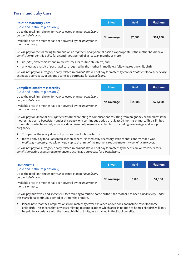# Parent and Baby Care

| <b>Routine Maternity Care</b>                                                              | <b>Silver</b> | Gold    | <b>Platinum</b> |
|--------------------------------------------------------------------------------------------|---------------|---------|-----------------|
| (Gold and Platinum plans only)                                                             |               |         |                 |
| Up to the total limit shown for your selected plan per beneficiary<br>per period of cover. | No coverage   | \$7,000 | \$14,000        |
| Available once the mother has been covered by the policy for 24<br>months or more.         |               |         |                 |

*We* will pay for the following *treatment*, on an *inpatient* or *daypatient* basis as appropriate, if the mother has been a *beneficiary* under this *policy* for a continuous period of at least 24 months or more:

- *hospital*, obstetricians' and midwives' fees for routine childbirth; and
- any fees as a result of post-natal care required by the mother immediately following routine childbirth.

*We* will not pay for surrogacy or any related *treatment. We* will not pay for maternity care or *treatment* for a *beneficiary* acting as a surrogate, or anyone acting as a surrogate for a *beneficiary*.

| <b>Complications from Maternity</b>                                                        | <b>Silver</b> | Gold     | <b>Platinum</b> |
|--------------------------------------------------------------------------------------------|---------------|----------|-----------------|
| (Gold and Platinum plans only)                                                             |               |          |                 |
| Up to the total limit shown for your selected plan per beneficiary<br>per period of cover. | No coverage   | \$14,000 | \$28,000        |
| Available once the mother has been covered by the policy for 24<br>months or more.         |               |          |                 |

*We* will pay for *inpatient* or *outpatient treatment* relating to complications resulting from pregnancy or childbirth if the mother has been a *beneficiary* under this *policy* for a continuous period of at least 24 months or more. This is limited to conditions which can only arise as a direct result of pregnancy or childbirth, including miscarriage and ectopic pregnancy.

- This part of the *policy* does not provide cover for home births.
- *We* will only pay for a Caesarean section, where it is medically necessary. If *we* cannot confirm that it was *medically necessary*, *we* will only pay up to the limit of the mother's routine maternity benefit care cover.

*We* will not pay for surrogacy or any related *treatment*. *We* will not pay for maternity benefit care or *treatment* for a *beneficiary* acting as a surrogate or anyone acting as a surrogate for a *beneficiary*.

| <b>Homebirths</b>                                                                          | <b>Silver</b> | <b>Gold</b> | <b>Platinum</b> |
|--------------------------------------------------------------------------------------------|---------------|-------------|-----------------|
| (Gold and Platinum plans only)                                                             |               |             |                 |
| Up to the total limit shown for your selected plan per beneficiary<br>per period of cover. | No coverage   | \$500       | \$1,100         |
| Available once the mother has been covered by the policy for 24<br>months or more.         |               |             |                 |

*We* will pay midwives' and *specialists*' fees relating to routine home births if the mother has been a *beneficiary* under this *policy* for a continuous period of 24 months or more.

 Please note that the Complications from maternity cover explained above does not include cover for home childbirth. This means that any costs relating to complications which arise in relation to home childbirth will only be paid in accordance with the home childbirth limits, as explained in the list of benefits.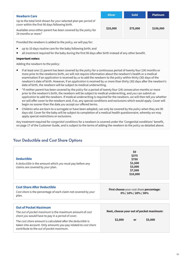| <b>Newborn Care</b>                                                                                                 | <b>Silver</b> | <b>Gold</b> | <b>Platinum</b> |
|---------------------------------------------------------------------------------------------------------------------|---------------|-------------|-----------------|
| Up to the total limit shown for your selected plan per period of<br>cover within the first 90 days following birth. |               |             |                 |
| Available once either parent has been covered by the policy for<br>24 months or more.*                              | \$25,000      | \$75,000    | \$156,000       |

Provided the newborn is added to the *policy, we* will pay for:

- up to 10 days routine care for the baby following birth; and
- all *treatment* required for the baby during the first 90 days after birth instead of any other benefit.

#### Important notes:

Adding the newborn to the policy:

- If at least one (1) parent has been covered by the *policy* for a continuous period of twenty four (24) months or more prior to the newborns birth, *we* will not require information about the newborn's health or a medical examination if an *application* is received by *us* to add the newborn to the *policy* within thirty (30) days of the newborn's date of birth. However, if an *application* is received by *us* more than thirty (30) days after the newborn's date of birth, the newborn will be subject to medical underwriting.
- \*If neither parent has been covered by the *policy* for a period of twenty four (24) consecutive months or more prior to the newborn's birth, the newborn will be subject to medical underwriting, and *you* can submit an *application* to add the newborn. If medical underwriting is required for the newborn, *we* will then tell *you* whether *we* will offer cover to the newborn and, if so, any special conditions and exclusions which would apply. Cover will begin no sooner than the date *you* accept *our* offered terms.
- Children who are born to a surrogate or have been adopted, can only be covered by the *policy* when they are 90 days old. Cover for the baby will be subject to completion of a medical health questionnaire, whereby *we* may apply special restrictions or exclusions.

Any treatment required for *congenital conditions* for a newborn is covered under the 'Congenital conditions' benefit, on page 17 of the Customer Guide, and is subject to the terms of adding the newborn to the *policy* as detailed above.

| <b>Deductible</b><br>A <i>deductible</i> is the amount which you must pay before any<br>claims are covered by your plan.                                                                                                                                                                                                  | \$0<br>\$375<br>\$750<br>\$1,500<br>\$3,000<br>\$7,500<br>\$10,000   |  |  |
|---------------------------------------------------------------------------------------------------------------------------------------------------------------------------------------------------------------------------------------------------------------------------------------------------------------------------|----------------------------------------------------------------------|--|--|
| <b>Cost Share After Deductible</b><br>Cost share is the percentage of each claim not covered by your<br>plan.                                                                                                                                                                                                             | First choose your cost share percentage:<br>0% / 10% / 20% / 30%     |  |  |
| <b>Out of Pocket Maximum</b><br>The out of pocket maximum is the maximum amount of cost<br>share you would have to pay in a period of cover.<br>The cost share amount is calculated after the deductible is<br>taken into account. Only amounts you pay related to cost share<br>contribute to the out of pocket maximum. | Next, choose your out of pocket maximum:<br>\$2,000<br>\$5,000<br>or |  |  |

# Your Deductible and Cost Share Options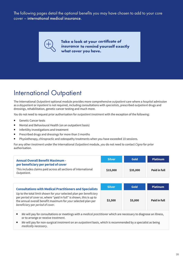The following pages detail the optional benefits you may have chosen to add to your core cover – international medical insurance.



**Take a look at your certificate of to remind yourself exactly insurancewhat cover you have.**

# International Outpatient

The International *Outpatient* optional module provides more comprehensive *outpatient* care where a *hospital* admission as a *daypatient* or *inpatient* is not required, including consultations with *specialists*, prescribed *outpatient* drugs and dressings, rehabilitation, genetic cancer testing and much more.

*You* do not need to request prior authorisation for *outpatient treatment* with the exception of the following:

- Genetic Cancer tests
- Mental and Behavioural Health (on an outpatient basis)
- **Infertility investigations and treatment**
- **Prescribed drugs and dressings for more than 3 months**
- Physiotherapy, chiropractic and osteopathy treatments when you have exceeded 10 sessions.

For any other *treatment* under the International *Outpatient* module, *you* do not need to contact *Cigna* for prior authorisation.

| <b>Annual Overall Benefit Maximum -</b>                                                                              | <b>Silver</b> | Gold     | <b>Platinum</b> |
|----------------------------------------------------------------------------------------------------------------------|---------------|----------|-----------------|
| per beneficiary per period of cover<br>This includes claims paid across all sections of International<br>Outpatient. | \$15,000      | \$35,000 | Paid in full    |

| <b>Consultations with Medical Practitioners and Specialists</b>                                                                                                                                                                                 | <b>Silver</b> | Gold    | <b>Platinum</b> |
|-------------------------------------------------------------------------------------------------------------------------------------------------------------------------------------------------------------------------------------------------|---------------|---------|-----------------|
| Up to the total limit shown for your selected plan per beneficiary<br>per period of cover or, where "paid in full" is shown, this is up to<br>the annual overall benefit maximum for your selected plan per<br>beneficiary per period of cover. | \$2,500       | \$5,000 | Paid in full    |

- *We* will pay for consultations or meetings with a *medical practitioner* which are necessary to diagnose an illness, or to arrange or receive *treatment*.
- *We* will pay for non-surgical *treatment* on an *outpatient* basis, which is recommended by a specialist as being *medically necessary*.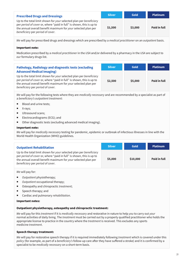| <b>Prescribed Drugs and Dressings</b>                                                                                                                                                                                                           | <b>Silver</b> | <b>Gold</b> | <b>Platinum</b> |
|-------------------------------------------------------------------------------------------------------------------------------------------------------------------------------------------------------------------------------------------------|---------------|-------------|-----------------|
| Up to the total limit shown for your selected plan per beneficiary<br>per period of cover or, where "paid in full" is shown, this is up to<br>the annual overall benefit maximum for your selected plan per<br>beneficiary per period of cover. | \$1,500       | \$3,000     | Paid in full    |

*We* will pay for prescribed drugs and dressings which are prescribed by a *medical practitioner* on an *outpatient* basis.

#### Important note:

Medication prescribed by a *medical practitioner* in the *USA* and/or delivered by a pharmacy in the *USA* are subject to *our* formulary drugs list.

| Pathology, Radiology and diagnostic tests (excluding                                                                                                                                                                                                                                | <b>Silver</b> | <b>Gold</b> | <b>Platinum</b> |
|-------------------------------------------------------------------------------------------------------------------------------------------------------------------------------------------------------------------------------------------------------------------------------------|---------------|-------------|-----------------|
| <b>Advanced Medical Imaging)</b><br>Up to the total limit shown for your selected plan per beneficiary<br>per period of cover or, where "paid in full" is shown, this is up to<br>the annual overall benefit maximum for your selected plan per<br>beneficiary per period of cover. | \$2,500       | \$5,000     | Paid in full    |

*We* will pay for the following tests where they are *medically necessary* and are recommended by a specialist as part of a *beneficiary's outpatient treatment*:

- Blood and urine tests:
- **X-rays;**
- Ultrasound scans;
- Electrocardiograms (ECG); and
- Other diagnostic tests (excluding advanced medical imaging).

#### Important note:

*We* will pay for *medically necessary* testing for pandemic, epidemic or outbreak of infectious illnesses in line with the World Health Organization (WHO) guidelines.

| <b>Outpatient Rehabilitation</b>                                                                                                                                                                                                                | <b>Silver</b> | <b>Gold</b> | <b>Platinum</b> |
|-------------------------------------------------------------------------------------------------------------------------------------------------------------------------------------------------------------------------------------------------|---------------|-------------|-----------------|
| Up to the total limit shown for your selected plan per beneficiary<br>per period of cover or, where "paid in full" is shown, this is up to<br>the annual overall benefit maximum for your selected plan per<br>beneficiary per period of cover. | \$5,000       | \$10,000    | Paid in full    |

*We* will pay for:

- *Outpatient* physiotherapy;
- *Outpatient* occupational therapy;
- Osteopathy and chiropractic *treatment*;
- Speech therapy; and
- Cardiac and pulmonary *rehabilitation*.

#### Important notes:

#### Outpatient physiotherapy, osteopathy and chiropractic treatment:

*We* will pay for this *treatment* if it is *medically necessary* and restorative in nature to help *you* to carry out *your* normal activities of daily living. The *treatment* must be carried out by a properly qualified practitioner who holds the appropriate license to practice in the country where the *treatment* is received. This excludes any sports medicine *treatment*.

#### Speech therapy treatment:

*We* will pay for restorative speech therapy if it is required immediately following *treatment* which is covered under this *policy* (for example, as part of a *beneficiary's* follow-up care after they have suffered a stroke) and it is confirmed by a specialist to be *medically necessary* on a short-term basis.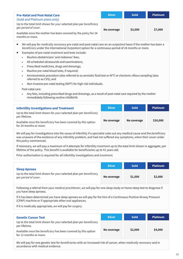| <b>Pre-Natal and Post-Natal Care</b>                                                       | <b>Silver</b> | Gold    | <b>Platinum</b> |
|--------------------------------------------------------------------------------------------|---------------|---------|-----------------|
| (Gold and Platinum plans only)                                                             |               |         |                 |
| Up to the total limit shown for your selected plan per beneficiary<br>per period of cover. | No coverage   | \$3,500 | \$7,000         |
| Available once the mother has been covered by the policy for 24<br>months or more.         |               |         |                 |

- *We* will pay for *medically necessary* pre-natal and post-natal care on an *outpatient* basis if the mother has been a *beneficiary* under the International *Outpatient* option for a continuous period of 24 months or more.
- Examples of pre-natal *treatment* and tests include:
	- Routine obstetricians' and midwives' fees;
	- All scheduled ultrasounds and examinations;
	- Prescribed medicines, drugs and dressings;
	- Routine pre-natal blood tests, if required;
	- Amniocentesis procedure (also referred to as amniotic fluid test or AFT) or chorionic villous sampling (also referred to as CVS); and
	- Non-invasive pre-natal testing (NIPT) for high risk individuals.

Post-natal care:

• Any fees, including prescribed drugs and dressings, as a result of post-natal care required by the mother immediately following routine childbirth.

| <b>Infertility Investigations and Treatment</b>                                          | <b>Silver</b> | <b>Gold</b> | <b>Platinum</b> |
|------------------------------------------------------------------------------------------|---------------|-------------|-----------------|
| Up to the total limit shown for your selected plan per beneficiary<br>per lifetime.      |               |             |                 |
| Available once the beneficiary has been covered by this option<br>for 24 months or more. | No coverage   | No coverage | \$10,000        |

*We* will pay for investigations into the cause of infertility if a specialist rules out any medical cause and the *beneficiary* was unaware of the existence of any infertility problem, and had not suffered any symptoms, when their cover under this *policy* commenced.

If necessary, *we* will pay a maximum of 4 attempts for Infertility *treatment* up to the total limit shown in aggregate, per lifetime of the policy. This benefit is available for beneficiaries up to 41 years old.

Prior authorisation is required for all infertility investigations and *treatment*.

| <b>Sleep Apnoea</b>                                                                        | <b>Silver</b> | <b>Gold</b> | <b>Platinum</b> |
|--------------------------------------------------------------------------------------------|---------------|-------------|-----------------|
| Up to the total limit shown for your selected plan per beneficiary<br>per period of cover. | No coverage   | \$1,500     | \$2,000         |

Following a referral from your *medical practitioner*, *we* will pay for one sleep study or home sleep test to diagnose if *you* have sleep apnoea.

If it has been determined *you* have sleep apnoea *we* will pay for the hire of a Continuous Positive Airway Pressure (CPAP) machine or if appropriate other oral appliances.

If it is medically appropriate, *we* will pay for *surgery*.

| <b>Genetic Cancer Test</b>                                                                      | <b>Silver</b> | <b>Gold</b> | <b>Platinum</b> |
|-------------------------------------------------------------------------------------------------|---------------|-------------|-----------------|
| Up to the total limit shown for your selected plan per beneficiary<br>per lifetime.             |               |             |                 |
| Available once the <i>beneficiary</i> has been covered by this option<br>for 12 months or more. | No coverage   | \$2,000     | \$4,000         |

*We* will pay for one genetic test for *beneficiaries* with an increased risk of cancer, when *medically necessary* and in accordance with medical evidence.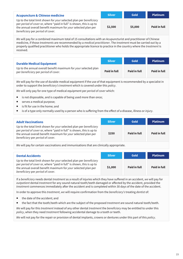| <b>Acupuncture &amp; Chinese medicine</b>                                                                                                                                                                                                       | <b>Silver</b> | Gold    | <b>Platinum</b> |
|-------------------------------------------------------------------------------------------------------------------------------------------------------------------------------------------------------------------------------------------------|---------------|---------|-----------------|
| Up to the total limit shown for your selected plan per beneficiary<br>per period of cover or, where "paid in full" is shown, this is up to<br>the annual overall benefit maximum for your selected plan per<br>beneficiary per period of cover. | \$2,500       | \$5,000 | Paid in full    |

*We* will pay for a combined maximum total of 15 consultations with an Acupuncturist and practitioner of Chinese medicine, if those *treatments* are recommended by a *medical practitioner*. The *treatment* must be carried out by a properly qualified practitioner who holds the appropriate licence to practice in the country where the *treatment* is received.

| <b>Durable Medical Equipment</b>                                                                        | <b>Silver</b> | <b>Gold</b>  | <b>Platinum</b> |
|---------------------------------------------------------------------------------------------------------|---------------|--------------|-----------------|
| Up to the annual overall benefit maximum for your selected plan<br>per beneficiary per period of cover. | Paid in full  | Paid in full | Paid in full    |

*We* will pay for the use of durable medical equipment if the use of that equipment is recommended by a specialist in order to support the *beneficiary's treatment* which is covered under this *policy*.

*We* will only pay for one type of medical equipment per *period of cover* which:

- is not disposable, and is capable of being used more than once;
- serves a medical purpose;
- is fit for use in the home; and
- is of a type only normally used by a person who is suffering from the effect of a disease, illness or *injury*.

#### **Adult Vaccinations**

Up to the total limit shown for *your* selected plan per *beneficiary* per *period of cover* or, where "paid in full" is shown, this is up to the annual overall benefit maximum for *your* selected plan per *beneficiary* per *period of cover*.

| экуэн | ovu                 | г шинин             |
|-------|---------------------|---------------------|
| \$250 | <b>Paid in full</b> | <b>Paid in full</b> |

**Silver Gold Platinum**

*We* will pay for certain vaccinations and immunisations that are clinically appropriate.

| <b>Dental Accidents</b>                                                                                                                                                                                                                         | <b>Silver</b> | <b>Gold</b>  | <b>Platinum</b> |
|-------------------------------------------------------------------------------------------------------------------------------------------------------------------------------------------------------------------------------------------------|---------------|--------------|-----------------|
| Up to the total limit shown for your selected plan per beneficiary<br>per period of cover or, where "paid in full" is shown, this is up to<br>the annual overall benefit maximum for your selected plan per<br>beneficiary per period of cover. | \$1,000       | Paid in full | Paid in full    |

If a *beneficiary* needs dental *treatment* as a result of injuries which they have suffered in an accident, *we* will pay for *outpatient* dental *treatment* for any sound natural tooth/teeth damaged or affected by the accident, provided the *treatment* commences immediately after the accident and is completed within 30 days of the date of the accident.

In order to approve this *treatment*, *we* will require confirmation from the *beneficiary's* treating *dentist* of:

- the date of the accident; and
- the fact that the tooth/teeth which are the subject of the proposed *treatment* are sound natural tooth/teeth.

*We* will pay for this *treatment* instead of any other dental *treatment* the *beneficiary* may be entitled to under this *policy*, when they need *treatment* following accidental damage to a tooth or teeth.

*We* will not pay for the repair or provision of dental implants, crowns or dentures under this part of this *policy*.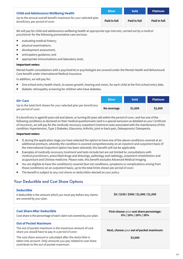| <b>Child and Adolescence Wellbeing Health</b>                                                       | <b>Silver</b> | <b>Gold</b>  | <b>Platinum</b>     |
|-----------------------------------------------------------------------------------------------------|---------------|--------------|---------------------|
| Up to the annual overall benefit maximum for your selected plan<br>beneficiary per period of cover. | Paid in full  | Paid in full | <b>Paid in full</b> |

*We* will pay for child and adolescence wellbeing health at *appropriate age intervals*, carried out by a *medical practitioner* for the following preventative care services:

- evaluating medical history;
- **Physical examinations;**
- development assessment:
- anticipatory guidance; and
- appropriate immunisations and laboratory tests.

#### Important notes:

Mental health consultations with a psychiatrist or psychologist are covered under the Mental Health and Behavioural Care benefit under International Medical Insurance.

In addition, *we* will pay for:

- One school entry health check, to assess growth, hearing and vision, for each child at the first school entry date.
- diabetic retinopathy screening for children who have diabetes.

| 60+ Care                                                                                   | <b>Silver</b> | Gold    | <b>Platinum</b> |
|--------------------------------------------------------------------------------------------|---------------|---------|-----------------|
| Up to the total limit shown for your selected plan per beneficiary<br>per period of cover. | No coverage   | \$1,000 | \$2,000         |

If a *beneficiary* is aged 60 years old and above, or turning 60 years old within the *period of cover*, and has one of the following conditions as declared on their medical questionnaire (and is a special exclusion as detailed on *your Certificate of Insurance*), *we* will pay for the *medically necessary outpatient treatment* costs associated with the maintenance of this condition: Hypertension, Type 2 Diabetes, Glaucoma, Arthritis, joint or back pain, Osteoporosis/ Osteopenia.

#### Important notes:

- If, during the application stage *you* have selected the option to have one of the above conditions covered at an additional premium, whereby the condition is covered comprehensively on an *inpatient* and *outpatient* basis (if the International *Outpatient* option has been selected); this benefit will not be applicable.
- Examples of *medically necessary treatment* and tests include but are not limited to: consultations with *medical practitioners*, prescribed drugs and dressings, pathology and radiology, *outpatient rehabilitation* and acupuncture and Chinese medicine. Please note, this benefit excludes Advanced Medical Imaging.
- *You* are eligible to have the condition(s) covered (but not conditions, symptoms or complications arising from those conditions) on an *outpatient* basis, up to the total limits shown per *period of cover*.
- The benefit is subject to any *cost shares* or *deductibles* elected on *your policy*.

# Your Deductible and Cost Share Options

| <b>Deductible</b><br>A deductible is the amount which you must pay before any claims<br>are covered by your plan.                                                                | \$0/\$150/\$500/\$1,000/\$1,500                                  |
|----------------------------------------------------------------------------------------------------------------------------------------------------------------------------------|------------------------------------------------------------------|
|                                                                                                                                                                                  |                                                                  |
| <b>Cost Share After Deductible</b><br>Cost share is the percentage of each claim not covered by your plan.                                                                       | First choose your cost share percentage:<br>0% / 10% / 20% / 30% |
| <b>Out of Pocket Maximum</b><br>The out of pocket maximum is the maximum amount of cost<br>share you would have to pay in a period of cover.                                     | Next, choose your out of pocket maximum:                         |
| The cost share amount is calculated after the <i>deductible</i> is<br>taken into account. Only amounts you pay related to cost share<br>contribute to the out of pocket maximum. | \$3,000                                                          |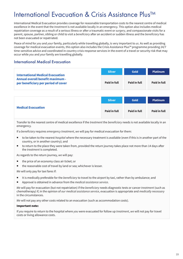# International Evacuation & Crisis Assistance Plus™

International Medical Evacuation provides coverage for reasonable transportation costs to the nearest centre of medical excellence in the event that the *treatment* is not available locally in an emergency. This option also includes medical repatriation coverage as a result of a serious illness or after a traumatic event or *surgery*, and compassionate visits for a parent, spouse, partner, sibling or child to visit a *beneficiary* after an accident or sudden illness and the *beneficiary* has not been evacuated or repatriated.

Peace of mind for *you* and *your* family, particularly while travelling globally, is very important to *us*. As well as providing coverage for medical evacuation events, this option also includes the Crisis Assistance Plus™ programme providing 24/7 time-sensitive advice and coordinated in-country crisis response services in the event of a travel or security risk that may occur while *you* and *your* family are travelling globally.

# International Medical Evacuation

|                                                                                                                           | <b>Silver</b> | Gold         | <b>Platinum</b> |
|---------------------------------------------------------------------------------------------------------------------------|---------------|--------------|-----------------|
| <b>International Medical Evacuation</b><br><b>Annual overall benefit maximum -</b><br>per beneficiary per period of cover | Paid in full  | Paid in full | Paid in full    |

|                           | <b>Silver</b> | Gold                | <b>Platinum</b> |
|---------------------------|---------------|---------------------|-----------------|
| <b>Medical Evacuation</b> | Paid in full  | <b>Paid in full</b> | Paid in full    |

Transfer to the nearest centre of medical excellence if the *treatment* the *beneficiary* needs is not available locally in an emergency.

If a *beneficiary* requires *emergency treatment*, *we* will pay for medical evacuation for them:

- to be taken to the nearest *hospital* where the necessary treatment is available (even if this is in another part of the country, or in another country); and
- to return to the place they were taken from, provided the return journey takes place not more than 14 days after the *treatment* is completed.

As regards to the return journey, *we* will pay:

- the price of an economy class air ticket; or
- the reasonable cost of travel by land or sea; whichever is lesser.

*We* will only pay for taxi fares if:

- It is medically preferable for the *beneficiary* to travel to the airport by taxi, rather than by ambulance; and
- Approval is obtained in advance from the *medical assistance service*.

*We* will pay for evacuation (but not repatriation) if the *beneficiary* needs diagnostic tests or cancer *treatment* (such as chemotherapy) if, in the opinion of *our medical assistance service*, evacuation is appropriate and *medically necessary* in the circumstances.

*We* will not pay any other costs related to an evacuation (such as accommodation costs).

#### Important note:

If *you* require to return to the hospital where *you* were evacuated for follow up *treatment*, *we* will not pay for travel costs or living allowance costs.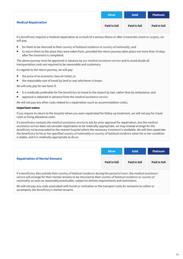|                             | <b>Silver</b>       | Gold         | <b>Platinum</b>     |
|-----------------------------|---------------------|--------------|---------------------|
| <b>Medical Repatriation</b> | <b>Paid in full</b> | Paid in full | <b>Paid in full</b> |

If a *beneficiary* requires a medical repatriation as a result of a serious illness or after a traumatic event or *surgery*, *we* will pay:

- for them to be returned to their *country of habitual residence* or *country of nationality*; and
- to return them to the place they were taken from, provided the return journey takes place not more than 14 days after the *treatment* is completed.

The above journey must be approved in advance by *our medical assistance service* and to avoid doubt all transportation costs are required to be reasonable and customary.

As regards to the return journey, *we* will pay:

- the price of an economy class air ticket; or
- the reasonable cost of travel by land or sea; whichever is lesser.

*We* will only pay for taxi fares if:

- it is medically preferable for the *beneficiary* to travel to the airport by taxi, rather than by ambulance; and
- approval is obtained in advance from the *medical assistance service*.

*We* will not pay any other costs related to a repatriation (such as accommodation costs).

#### Important notes:

If *you* require to return to the *hospital* where *you* were repatriated for follow up treatment, *we* will not pay for travel costs or living allowance costs.

If a *beneficiary* contacts the *medical assistance service* to ask for prior approval for repatriation, but the *medical assistance service* does not consider repatriation to be medically appropriate, *we* may instead arrange for the *beneficiary* to be evacuated to the nearest *hospital* where the necessary *treatment* is available. *We* will then repatriate the *beneficiary* to his or her specified *country of nationality* or *country of habitual residence* when his or her condition is stable, and it is medically appropriate to do so.

|                                       | <b>Silver</b> | Gold                | <b>Platinum</b> |
|---------------------------------------|---------------|---------------------|-----------------|
| <b>Repatriation of Mortal Remains</b> | Paid in full  | <b>Paid in full</b> | Paid in full    |

If a *beneficiary* dies outside their *country of habitual residence* during the *period of cover*, the *medical assistance service* will arrange for their mortal remains to be returned to their *country of habitual residence* or *country of nationality* as soon as reasonably practicable, subject to airlines requirements and restrictions.

*We* will not pay any costs associated with burial or cremation or the transport costs for someone to collect or accompany the *beneficiary's* mortal remains.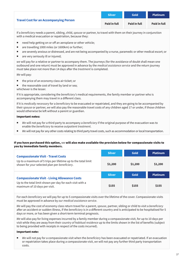|                                               | <b>Silver</b> | <b>Gold</b>         | <b>Platinum</b> |
|-----------------------------------------------|---------------|---------------------|-----------------|
| <b>Travel Cost for an Accompanying Person</b> | Paid in full  | <b>Paid in full</b> | Paid in full    |

If a *beneficiary* needs a parent, sibling, child, *spouse* or partner, to travel with them on their journey in conjunction with a medical evacuation or repatriation, because they:

- need help getting on or off an aeroplane or other vehicle;
- are travelling 1000 miles (or 1600km) or further;
- are severely anxious or distressed, and are not being accompanied by a nurse, paramedic or other medical escort; or
- are very seriously ill or injured;

*we* will pay for a relative or partner to accompany them. The journeys (for the avoidance of doubt shall mean one outbound and one return) must be approved in advance by the *medical assistance service* and the return journey must take place not more than 14 days after the *treatment* is completed.

*We* will pay:

- the price of an economy class air ticket; or
- the reasonable cost of travel by land or sea; whichever is the lesser.

If it is appropriate, considering the *beneficiary's* medical requirements, the family member or partner who is accompanying them may travel in a different class.

If it is *medically necessary* for a *beneficiary* to be evacuated or repatriated, and they are going to be accompanied by their *spouse* or partner, *we* will also pay the reasonable travel costs of any children aged 17 or under, if those children would otherwise be left without a parent or guardian.

#### Important notes:

- *We* will not pay for a third party to accompany a *beneficiary* if the original purpose of the evacuation was to enable the *beneficiary* to receive *outpatient treatment*.
- *We* will not pay for any other costs relating to third party travel costs, such as accommodation or local transportation.

#### If you have purchased this option, we will also make available the provision below for compassionate visits to you by immediate family members.

|                                                                                                                                                             | <b>Silver</b> | Gold    | <b>Platinum</b> |
|-------------------------------------------------------------------------------------------------------------------------------------------------------------|---------------|---------|-----------------|
| <b>Compassionate Visit - Travel Costs</b><br>Up to a maximum of 5 trips per lifetime up to the total limit<br>shown for your selected plan per beneficiary. | \$1,200       | \$1,200 | \$1,200         |
| <b>Compassionate Visit - Living Allowance Costs</b><br>Up to the total limit shown per day for each visit with a<br>maximum of 10 days per visit.           | <b>Silver</b> | Gold    | <b>Platinum</b> |
|                                                                                                                                                             | \$155         | \$155   | \$155           |

For each *beneficiary we* will pay for up to 5 compassionate visits over the lifetime of the cover. Compassionate visits must be approved in advance by *our medical assistance service*.

*We* will pay the cost of economy class return travel for a parent, *spouse*, partner, sibling or child to visit a *beneficiary* after an accident or sudden illness, if the *beneficiary* is in a different country and is anticipated to be hospitalised for 5 days or more, or has been given a short-term terminal prognosis.

*We* will also pay for living expenses incurred by a family member during a compassionate visit, for up to 10 days per visit while they are away from their *country of habitual residence* up to the limits shown in the list of benefits (subject to being provided with receipts in respect of the costs incurred).

#### Important note:

 *We* will not pay for a compassionate visit when the *beneficiary* has been evacuated or repatriated. If an evacuation or repatriation takes place during a compassionate visit, *we* will not pay any further third party transportation costs.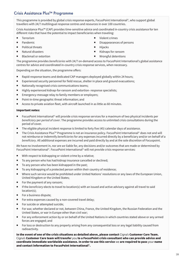# Crisis Assistance Plus™ Programme

This programme is provided by global crisis response experts, FocusPoint International<sup>®</sup>, who support global travellers with 24/7 multilingual response centres and resources in over 100 countries.

Crisis Assistance Plus™ (CAP) provides time-sensitive advice and coordinated in-country crisis assistance for ten different risks that have the potential to impact beneficiaries when traveling:

- Terrorism
- Pandemic
- Political threats
- Natural disasters
- Blackmail or extortion
- Violent crimes
- Disappearances of persons
- $\blacksquare$  Hijacks
- Kidnaps for ransom
- Wrongful detentions

The programme provides *beneficiaries* with 24/7 on-demand access to FocusPoint International's global assistance centres for advice and coordinated in-country crisis response services, when necessary.

Depending on the situation, the programme offers:

- Rapid-response teams and dedicated CAP managers deployed globally within 24 hours;
- Experienced security personnel for field rescue, shelter in place and ground evacuations;
- Nationally recognised crisis communications teams;
- Highly experienced kidnap-for-ransom and extortion- response specialists;
- **Emergency-message relay to family members or employers;**
- Point-in-time geographic threat information; and
- Access to private aviation fleet, with aircraft launched in as little as 60 minutes.

#### Important notes:

- FocusPoint International© will provide crisis response services for a maximum of two physical incidents per *beneficiary* per *period of cover*. The programme provides access to unlimited crisis consultations during the period of cover.
- The eligible physical incident response is limited to forty five (45) calendar days of assistance.
- The Crisis Assistance Plus™ Programme is not an insurance policy. FocusPoint International<sup>©</sup> does not and will not reimburse or indemnify *beneficiaries* for any expenses incurred directly by a beneficiary and/or on behalf of a *beneficiary*. All additional expenses are incurred and paid directly by and at the sole discretion of Focuspoint.

*We* have no involvement in, nor are *we* liable for, any decisions and/or outcomes that are made or determined by FocusPoint International©. FocusPoint International© will not provide crisis response services:

- With respect to kidnapping or violent crime by a relative;
- To any person who has had kidnap insurance cancelled or declined;
- To any person who has been kidnapped in the past;
- To any kidnapping of a protected person within their country of residence;
- Where such service would be prohibited under United Nations' resolutions or any laws of the European Union, United Kingdom or the United States;
- For the payment of any ransom;
- If the *beneficiary* elects to travel to location(s) with an issued and active advisory against all travel to said location(s);
- For a business dispute;
- For extra expenses caused by a non-covered travel delay;
- For suicide or attempted suicide:
- For war, whether declared or not, between China, France, the United Kingdom, the Russian Federation and the United States, or war in Europe other than civil war;
- For any enforcement action by or on behalf of the United Nations in which countries stated above or any armed forces are engaged; and
- For loss or destruction to any property arising from any consequential loss or any legal liability caused from radioactivity.

In the event of one of the crisis situations as detailed above, please contact Cigna's Customer Care Team. Cigna's Customer Care team will transfer you to a FocusPoint crisis consultant who can provide advice and coordinate immediate worldwide assistance. In order to use this service we are required to pass your name and contact information to FocusPoint International©.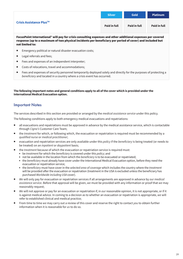|                                     | <b>Silver</b> | <b>Gold</b>         | <b>Platinum</b> |
|-------------------------------------|---------------|---------------------|-----------------|
| Crisis Assistance Plus <sup>™</sup> | Paid in full  | <b>Paid in full</b> | Paid in full    |

FocusPoint International© will pay for crisis consulting expenses and other additional expenses per covered response (up to a maximum of two physical incidents per beneficiary per period of cover) and included but not limited to:

- Emergency political or natural disaster evacuation costs;
- Legal referrals and fees;
- Fees and expenses of an independent interpreter;
- Costs of relocations, travel and accommodations;
- Fees and expenses of security personnel temporarily deployed solely and directly for the purposes of protecting a *beneficiary* and located in a country where a crisis event has occurred.

**The following important notes and general conditions apply to all of the cover which is provided under the International Medical Evacuation option.** 

## Important Notes

The services described in this section are provided or arranged by the *medical assistance service* under this policy.

The following conditions apply to both emergency medical evacuations and repatriations:

- all evacuations and repatriations must be approved in advance by the medical assistance service, which is contactable through *Cigna's* Customer Care Team;
- the *treatment* for which, or following which, the evacuation or repatriation is required must be recommended by a *qualified nurse* or *medical practitioner*;
- evacuation and repatriation services are only available under this *policy* if the *beneficiary* is being treated (or needs to be treated) on an *inpatient* or *daypatient* basis;
- the *treatment* because of which the evacuation or repatriation service is required must:
	- be *treatment* for which the *beneficiary* is covered under this *policy*; and
	- not be available in the location from which the *beneficiary* is to be evacuated or repatriated;
	- the *beneficiary* must already have cover under the International Medical Evacuation option, before they need the evacuation or repatriation service;
	- the *beneficiary* must have cover in the *selected area of coverage* which includes the country where the *treatment* will be provided after the evacuation or repatriation (treatment in the USA is excluded unless the beneficiary has purchased *Worldwide including USA* cover).
- *We* will only pay for evacuation or repatriation services if all arrangements are approved in advance by *our medical assistance service*. Before that approval will be given, *we* must be provided with any information or proof that *we* may reasonably request;
- *We* will not approve or pay for an evacuation or repatriation if, in *our* reasonable opinion, it is not appropriate, or if it is against medical advice. In coming to a decision as to whether an evacuation or repatriation is appropriate, *we* will refer to established clinical and medical practice;
- From time to time *we* may carry out a review of this cover and reserve the right to contact *you* to obtain further information when it is reasonable for *us* to do so.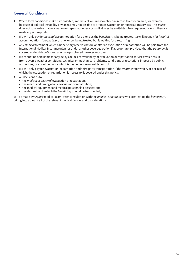# General Conditions

- Where local conditions make it impossible, impractical, or unreasonably dangerous to enter an area, for example because of political instability or war, *we* may not be able to arrange evacuation or repatriation services. This *policy* does not guarantee that evacuation or repatriation services will always be available when requested, even if they are medically appropriate.
- *We* will only pay for *hospital* accommodation for as long as the *beneficiary* is being treated. *We* will not pay for *hospital* accommodation if a *beneficiary* is no longer being treated but is waiting for a return flight.
- Any *medical* treatment which a beneficiary receives before or after an evacuation or repatriation will be paid from the International Medical Insurance plan (or under another coverage option if appropriate) provided that the *treatment* is covered under this *policy* and *you* have purchased the relevant cover.
- *We* cannot be held liable for any delays or lack of availability of evacuation or repatriation services which result from adverse weather conditions, technical or mechanical problems, conditions or restrictions imposed by public authorities, or any other factor which is beyond *our* reasonable control.
- *We* will only pay for evacuation, repatriation and third party transportation if the *treatment* for which, or because of which, the evacuation or repatriation is necessary is covered under this policy.
- All decisions as to:
	- the *medical necessity* of evacuation or repatriation;
	- the means and timing of any evacuation or repatriation;
	- the medical equipment and medical personnel to be used; and
	- the destination to which the *beneficiary* should be transported;

will be made by *Cigna's* medical team, after consultation with the *medical practitioners* who are treating the *beneficiary*, taking into account all of the relevant medical factors and considerations.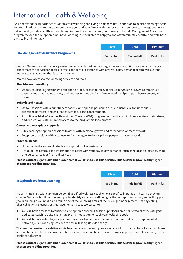# International Health & Wellbeing

*We* understand the importance of *your* overall wellbeing and living a balanced life. In addition to health screenings, tests and examinations; this module also empowers *you* and *your* family with the services and support to manage *your* own individual day-to-day health and wellbeing. *Your* Wellness companion, comprising of the Life Management Assistance programme and the Telephonic Wellness Coaching, are available to help *you* and *your* family stay healthy and well, both physically and mentally.

|                                      | <b>Silver</b> | <b>Gold</b>         | <b>Platinum</b> |
|--------------------------------------|---------------|---------------------|-----------------|
| Life Management Assistance Programme | Paid in full  | <b>Paid in full</b> | Paid in full    |

*Our* Life Management Assistance programme is available 24 hours a day, 7 days a week, 365 days a year meaning *you* can contact the service for access to free, confidential assistance with any work, life, personal or family issue that matters to *you* at a time that is suitable for *you*.

*You* will have access to the following services and tools:

#### Short-term counselling:

 Up to 6 counselling sessions via telephone, video, or face-to-face, per issue per *period of cover*. Common use cases include: managing anxiety and depression, couples' and family relationship support, bereavement, and more.

#### Behavioural health:

- Up to 6 sessions with a mindfulness coach via telephone per *period of cover*. Beneficial for individuals experiencing stress, and challenges with focus and concentration.
- An online self-help Cognitive Behavioural Therapy (CBT) programme to address mild to moderate anxiety, stress, and depression, with unlimited access to the programme for 6 months.

#### Career and workplace support:

- Life coaching telephonic sessions to assist with personal growth and career development at work.
- Telephonic sessions with a counsellor for managers to develop their people management skills.

#### Practical needs:

- Unlimited in the moment telephonic support for live assistance.
- Pre-qualified referrals and information to assist with your day to day demands, such as relocation logistics, child or eldercare, legal or financial services.

Please contact Cigna's Customer Care team if you wish to use this service. This service is provided by Cigna's chosen counselling provider.

|                                     | <b>Silver</b>       | <b>Gold</b>  | <b>Platinum</b>     |
|-------------------------------------|---------------------|--------------|---------------------|
| <b>Telephonic Wellness Coaching</b> | <b>Paid in full</b> | Paid in full | <b>Paid in full</b> |

*We* will match *you* with *your* own personal qualified wellness coach who is specifically trained in health behaviour change. *Your* coach will partner with *you* to identify a specific wellness goal that is important to *you*, and will support *you* in building a wellness plan around one of the following areas of focus: weight management, healthy eating, physical activity, sleep, stress management and tobacco cessation.

- *You* will have access to 6 confidential telephonic coaching sessions per focus area per *period of cover* with *your* dedicated coach to build *your* strategy and motivation to reach *your* wellbeing goal.
- *You* will be supported by *your* personal coach with advice and recommendations that can be implemented in between *your* 6 coaching sessions to ensure lasting lifestyle changes.

The coaching sessions are delivered via telephone which means *you* can access it from the comfort of *your* own home and can be scheduled at a convenient time for *you*, based on time zone and language preference. Please note, this is a confidential service.

#### Please contact Cigna's Customer Care team if you wish to use this service. This service is provided by Cigna's chosen counselling provider.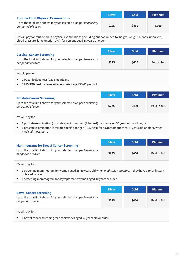| <b>Routine Adult Physical Examinations</b>                                                 | <b>Silver</b> | <b>Gold</b> | <b>Platinum</b> |
|--------------------------------------------------------------------------------------------|---------------|-------------|-----------------|
| Up to the total limit shown for your selected plan per beneficiary<br>per period of cover. | \$225         | \$450       | \$600           |

*We* will pay for routine adult physical examinations (including but not limited to: height, weight, bloods, urinalysis, blood pressure, lung function etc.), for persons aged 18 years or older.

| <b>Cervical Cancer Screening</b><br>Up to the total limit shown for your selected plan per beneficiary<br>per period of cover. | <b>Silver</b> | <b>Gold</b> | <b>Platinum</b> |
|--------------------------------------------------------------------------------------------------------------------------------|---------------|-------------|-----------------|
|                                                                                                                                | \$225         | \$450       | Paid in full    |
| We will pay for:                                                                                                               |               |             |                 |

- 1 Papanicolaou test (pap smear); and
- 1 HPV DNA test for female beneficiaries aged 30-65 years old.

| <b>Prostate Cancer Screening</b>                                                           | <b>Silver</b> | <b>Gold</b> | <b>Platinum</b> |
|--------------------------------------------------------------------------------------------|---------------|-------------|-----------------|
| Up to the total limit shown for your selected plan per beneficiary<br>per period of cover. | \$225         | \$450       | Paid in full    |

*We* will pay for:

- 1 prostate examination (prostate specific antigen (PSA) test) for men aged 50 years old or older; or
- 1 prostate examination (prostate specific antigen (PSA) test) for asymptomatic men 40 years old or older, when *medically necessary*.

| <b>Mammograms for Breast Cancer Screening</b>                                              | <b>Silver</b> | <b>Gold</b> | <b>Platinum</b>     |
|--------------------------------------------------------------------------------------------|---------------|-------------|---------------------|
| Up to the total limit shown for your selected plan per beneficiary<br>per period of cover. | \$225         | \$450       | <b>Paid in full</b> |

*We* will pay for:

- 1 screening mammogram for women aged 25-39 years old when *medically necessary*, if they have a prior history of breast cancer
- 1 screening mammogram for asymptomatic women aged 40 years or older.

| <b>Bowel Cancer Screening</b><br>Up to the total limit shown for your selected plan per beneficiary<br>per period of cover. | <b>Silver</b> | Gold  | <b>Platinum</b> |
|-----------------------------------------------------------------------------------------------------------------------------|---------------|-------|-----------------|
|                                                                                                                             | \$225         | \$450 | Paid in full    |
| We will pay for:                                                                                                            |               |       |                 |
| 1 bowel cancer screening for beneficiaries aged 50 years old or older.                                                      |               |       |                 |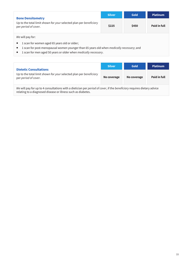| <b>Bone Densitometry</b><br>Up to the total limit shown for your selected plan per beneficiary<br>per period of cover. | <b>Silver</b> | <b>Gold</b> | <b>Platinum</b> |  |
|------------------------------------------------------------------------------------------------------------------------|---------------|-------------|-----------------|--|
|                                                                                                                        | \$225         | \$450       | Paid in full    |  |
| We will pay for:                                                                                                       |               |             |                 |  |
| 1 scan for women aged 65 years old or older;                                                                           |               |             |                 |  |
| 1 scan for post-menopausal women younger than 65 years old when medically necessary; and                               |               |             |                 |  |
| 1 scan for men aged 50 years or older when <i>medically necessary</i> .                                                |               |             |                 |  |

|                                                                                                                                                                                                                                | <b>Silver</b> | <b>Gold</b> | <b>Platinum</b> |
|--------------------------------------------------------------------------------------------------------------------------------------------------------------------------------------------------------------------------------|---------------|-------------|-----------------|
| <b>Dietetic Consultations</b><br>Up to the total limit shown for your selected plan per beneficiary<br>per period of cover.                                                                                                    | No coverage   | No coverage | Paid in full    |
| THE REPORT OF THE REPORT OF THE REPORT OF THE REPORT OF THE REPORT OF THE REPORT OF THE REPORT OF THE REPORT OF THE REPORT OF THE REPORT OF THE REPORT OF THE REPORT OF THE REPORT OF THE REPORT OF THE REPORT OF THE REPORT O |               |             |                 |

*We* will pay for up to 4 consultations with a dietician per *period of cover*, if the *beneficiary* requires dietary advice relating to a diagnosed disease or illness such as diabetes.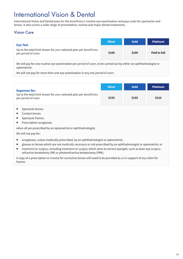# International Vision & Dental

International Vision and Dental pays for the *beneficiary's* routine eye examination and pays costs for spectacles and lenses. It also covers a wide range of preventative, routine and major dental treatments.

# Vision Care

| <b>Eye Test</b>                                                                            | <b>Silver</b> | Gold  | <b>Platinum</b> |
|--------------------------------------------------------------------------------------------|---------------|-------|-----------------|
| Up to the total limit shown for your selected plan per beneficiary<br>per period of cover. | \$100         | \$200 | Paid in full    |

*We* will pay for one routine eye examination per *period of cover*, to be carried out by either an ophthalmologist or optometrist.

*We* will not pay for more than one eye examination in any one *period of cover*.

| <b>Expenses for:</b><br>Up to the total limit shown for your selected plan per beneficiary<br>per period of cover.                                                                       | <b>Silver</b> | Gold  | <b>Platinum</b> |  |
|------------------------------------------------------------------------------------------------------------------------------------------------------------------------------------------|---------------|-------|-----------------|--|
|                                                                                                                                                                                          | \$155         | \$155 | \$310           |  |
| Spectacle lenses.                                                                                                                                                                        |               |       |                 |  |
| Contact lenses.<br>ш                                                                                                                                                                     |               |       |                 |  |
| Spectacle frames.<br>ш                                                                                                                                                                   |               |       |                 |  |
| Prescription sunglasses<br>п                                                                                                                                                             |               |       |                 |  |
| when all are prescribed by an optometrist or ophthalmologist.                                                                                                                            |               |       |                 |  |
| We will not pay for:                                                                                                                                                                     |               |       |                 |  |
| sunglasses, unless medically prescribed, by an ophthalmologist or optometrist;                                                                                                           |               |       |                 |  |
| glasses or lenses which are not <i>medically necessary</i> or not prescribed by an ophthalmologist or optometrist; or<br>ш                                                               |               |       |                 |  |
| treatment or surgery, including treatment or surgery which aims to correct eyesight, such as laser eye surgery,<br>п<br>refractive keratotomy (RK) or photorefractive keratectomy (PRK). |               |       |                 |  |

A copy of a prescription or invoice for corrective lenses will need to be provided to *us* in support of any claim for frames.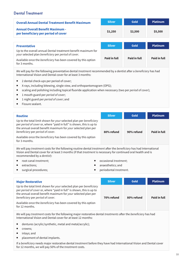# Dental Treatment

| <b>Overall Annual Dental Treatment Benefit Maximum</b>                                                               | <b>Silver</b> | <b>Gold</b>         | <b>Platinum</b>     |
|----------------------------------------------------------------------------------------------------------------------|---------------|---------------------|---------------------|
| <b>Annual Overall Benefit Maximum -</b><br>per beneficiary per period of cover                                       | \$1,250       | \$2,500             | \$5,500             |
|                                                                                                                      |               |                     |                     |
| <b>Preventative</b>                                                                                                  | <b>Silver</b> | <b>Gold</b>         | <b>Platinum</b>     |
| Up to the overall annual Dental treatment benefit maximum for<br>your selected plan beneficiary per period of cover. |               |                     |                     |
| Available once the beneficiary has been covered by this option<br>for 3 months.                                      | Paid in full  | <b>Paid in full</b> | <b>Paid in full</b> |

*We* will pay for the following preventative dental *treatment* recommended by a dentist after a *beneficiary* has had International Vision and Dental cover for at least 3 months:

- 2 dental check-ups per period of cover:
- X-rays, including bitewing, single view, and orthopantomogram (OPG);
- scaling and polishing including topical fluoride application when necessary (two per *period of cover*);
- 1 mouth guard per *period of cover*;
- 1 night guard per *period of cover*; and
- Fissure sealant.

| <b>Routine</b>                                                                                                                                                                                                                                  | <b>Silver</b> | Gold       | <b>Platinum</b> |
|-------------------------------------------------------------------------------------------------------------------------------------------------------------------------------------------------------------------------------------------------|---------------|------------|-----------------|
| Up to the total limit shown for your selected plan per beneficiary<br>per period of cover or, where "paid in full" is shown, this is up to<br>the annual overall benefit maximum for your selected plan per<br>beneficiary per period of cover. | 80% refund    | 90% refund | Paid in full    |
| Available once the beneficiary has been covered by this option<br>for 3 months.                                                                                                                                                                 |               |            |                 |

*We* will pay *treatment* costs for the following routine dental *treatment* after the *beneficiary* has had International Vision and Dental cover for at least 3 months (if that *treatment* is necessary for continued oral health and is recommended by a *dentist*):

- root canal *treatment*;
- **E** extractions;
- surgical procedures;
- occasional *treatment*;
- anaesthetics; and
- periodontal *treatment*.

| <b>Major Restorative</b>                                                                                                                                                                                                                        | <b>Silver</b> | <b>Gold</b> | <b>Platinum</b> |
|-------------------------------------------------------------------------------------------------------------------------------------------------------------------------------------------------------------------------------------------------|---------------|-------------|-----------------|
| Up to the total limit shown for your selected plan per beneficiary<br>per period of cover or, where "paid in full" is shown, this is up to<br>the annual overall benefit maximum for your selected plan per<br>beneficiary per period of cover. | 70% refund    | 80% refund  | Paid in full    |
| Available once the beneficiary has been covered by this option<br>for 12 months.                                                                                                                                                                |               |             |                 |

*We* will pay *treatment* costs for the following major restorative dental *treatments* after the *beneficiary* has had International Vision and Dental cover for at least 12 months:

- dentures (acrylic/synthetic, metal and metal/acrylic);
- crowns;
- inlays; and
- placement of dental implants.

If a *beneficiary* needs major restorative dental *treatment* before they have had International Vision and Dental cover for 12 months, *we* will pay 50% of the *treatment* costs.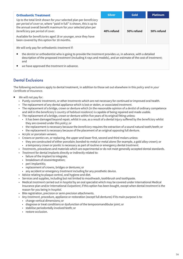| <b>Orthodontic Treatment</b>                                                                                                                                                                                                                    | <b>Silver</b> | <b>Gold</b> | <b>Platinum</b> |
|-------------------------------------------------------------------------------------------------------------------------------------------------------------------------------------------------------------------------------------------------|---------------|-------------|-----------------|
| Up to the total limit shown for your selected plan per beneficiary<br>per period of cover or, where "paid in full" is shown, this is up to<br>the annual overall benefit maximum for your selected plan per<br>beneficiary per period of cover. | 40% refund    | 50% refund  | 50% refund      |
| Available for beneficiaries aged 18 or younger, once they have<br>been covered by this option for 18 months.                                                                                                                                    |               |             |                 |
| We will only pay for orthodontic treatment if:                                                                                                                                                                                                  |               |             |                 |

- the *dentist* or orthodontist who is going to provide the *treatment* provides *us*, in advance, with a detailed description of the proposed *treatment* (including X-rays and models), and an estimate of the cost of *treatment*; and
- *we* have approved the *treatment* in advance.

# Dental Exclusions

The following exclusions apply to dental treatment, in addition to those set out elsewhere in this *policy* and in *your Certificate of Insurance*.

- *We* will not pay for:
	- Purely *cosmetic treatments*, or other *treatments* which are not necessary for continued or improved oral health.
	- The replacement of any dental appliance which is lost or stolen, or associated *treatment*.
	- The replacement of a bridge, crown or denture which (in the reasonable opinion of a *dentist* of ordinary competence and skill in the *beneficiary's country of habitual residence*) is capable of being repaired and made usable.
	- The replacement of a bridge, crown or denture within five years of its original fitting unless:
		- it has been damaged beyond repair, whilst in use, as a result of a dental injury suffered by the *beneficiary* whilst they are covered under this *policy*; or
		- the replacement is necessary because the *beneficiary* requires the extraction of a sound natural tooth/teeth; or
		- the replacement is necessary because of the placement of an original opposing full denture.
	- Acrylic or porcelain veneers.
	- Crowns or pontics on, or replacing, the upper and lower first, second and third molars unless:
		- they are constructed of either porcelain; bonded-to-metal or metal alone (for example, a gold alloy crown); or
		- a temporary crown or pontic is necessary as part of routine or emergency dental *treatment*.
	- *Treatments*, procedures and materials which are experimental or do not meet generally accepted dental standards.
	- *Treatment* for dental implants directly or indirectly related to:
		- failure of the implant to integrate;
		- breakdown of osseointegration;
		- peri-implantitis;
		- replacement of crowns, bridges or dentures; or
	- any accident or emergency *treatment* including for any prosthetic device.
	- Advice relating to plaque control, oral hygiene and diet.
	- Services and supplies, including but not limited to mouthwash, toothbrush and toothpaste.
	- Medical *treatment* carried out in *hospital* by an oral specialist which may be covered under International Medical Insurance plan and/or International *Outpatient*, if this option has been bought, except when dental *treatment* is the reason for you being in *hospital*.
	- Bite registration, precision or semi-precision attachments.
	- Any *treatment*, procedure, appliance or restoration (except full dentures) if its main purpose is to:
		- change vertical dimensions; or
		- diagnose or treat conditions or dysfunction of the temporomandibular joint; or
		- stabilise periodontally involved teeth; or
		- restore occlusion.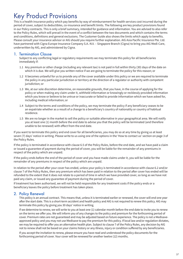# Key Product Provisions

This is a health insurance policy which pay benefits by way of reimbursement for health services cost incurred during the period of cover, subject to deductibles, co-insurance and benefit limits. The following are key product provisions found in our Policy contracts. This is only a brief summary, intended for guidance and information. You are advised to also refer to the Policy Rules, which will prevail in the event of a conflict between the two documents and which contains the terms and conditions, definitions and general exclusions. The Customer Guide also shows the limits which apply to benefits. Please consult your insurance advisor or AIG should you require further explanation. AIG Asia Pacific Insurance Pte. Ltd. have partnered with Cigna Europe Insurance Company S.A.-N.V. – Singapore Branch (Cigna) to bring you AIG Medi-Care, underwritten by AIG, and administered by Cigna.

# 1. Termination Clause

Subject to any conflicting legal or regulatory requirements we may terminate this policy for all beneficiaries immediately if:

- 1.1 Any premium or other charge (including any relevant tax) is not paid in full within thirty (30) days of the date on which it is due. We will give you written notice if we are going to terminate the policy for this reason; or
- 1.2 It becomes unlawful for us to provide any of the cover available under this policy or we are required to terminate the policy in any particular jurisdiction or territory at the direction of a regulator or authority with competent jurisdiction; or
- 1.3 We, at our sole discretion determine, on reasonable grounds, that you have, in the course of applying for the policy or when making any claim under it, withheld information or knowingly or recklessly provided information which you know or believe to be untrue or inaccurate or failed to provide information which we have asked for, including medical information; or
- 1.4 Subject to the terms and conditions of the policy, we may terminate the policy if any beneficiary ceases to be an expatriate whether as a result of a change to a beneficiary's country of nationality or country of habitual residence.
- 1.5 We are no longer in the market to sell the policy or suitable alternative in your geographical area. We will notify you at least one (1) month before the end date to advise you that the policy will be terminated (and therefore unable to be renewed) with effect from the end date.

If you want to terminate this policy and end cover for all beneficiaries, you may do so at any time by giving us at least seven (7) days' notice in writing. Please write to us using one of the options in the 'How to contact us' section on page 3 of the Policy Rules.

If the policy is terminated in accordance with clause 6.5 of the Policy Rules, before the end date, and we have paid a claim or issued a guarantee of payment during the period of cover, you will be liable for the remainder of any premiums in respect of the policy which are unpaid.

If the policy ends before the end of the period of cover and you have made claims under it, you will be liable for the remainder of any premiums in respect of the policy which are unpaid.

In relation to the period after your cover has ended, unless your policy is terminated in accordance with clause 6.2 and/or clause 7 of the Policy Rules, then any premium which has been paid in relation to the period after cover has ended will be refunded to the extent that it does not relate to a period of time in which we have provided cover, so long as we have not paid any claim, or issued any guarantee of payment during the period of cover.

If treatment has been authorised, we will not be held responsible for any treatment costs if the policy ends or a beneficiary leaves the policy before treatment has taken place.

# 2. Policy Renewal

This policy is an annual contract. This means that, unless it is terminated earlier or renewed, the cover will end one year after the start date. This is a short-term accident and health policy and AIG is not required to renew this policy. AIG may terminate this policy by giving you 30 days' notice in writing.

If we determine to renew, we will write to you at least one (1) calendar month before the end date to invite you to renew on the terms we offer you. We will inform you of any changes to the policy and premium for the forthcoming period of cover. Premium rates are not guaranteed and may be adjusted based on future experience. The policy is not a Medisaveapproved policy and you may not use Medisave to pay the premium for this policy. If local law and/or regulation dictates, we may be required to offer you an alternative health plan. Subject to clause 7 of the Policy Rules, any decision by AIG not to renew shall not be based on your claims history or any illness, injury or condition suffered by any beneficiaries.

If you accept the invitation to renew, please ensure you have read and understood the policy documents for the forthcoming period of cover. Your cover will be renewed for another twelve (12) months.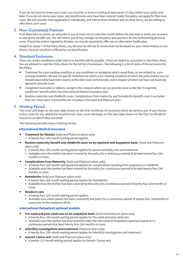If you do not want to renew your cover, you must let us know in writing at least seven (7) days before your policy end date. If you do not renew your cover, any beneficiaries who have been covered under the policy can apply for their own cover. We will consider their applications individually, and inform them whether, and on what terms, we are willing to offer them such cover.

## 3. Non-Guaranteed Premium

If we determine to renew, we will write to you at least one (1) calendar month before the end date to invite you to renew on the terms we offer you. We will inform you of any changes to the policy and premium for the forthcoming period of cover. If local law and/or regulation dictates, we may be required to offer you an alternative health plan.

Subject to clause 7 of the Policy Rules, any decision by AIG not to renew shall not be based on your claims history or any illness, injury or condition suffered by any beneficiaries.

# 4. Standard Exclusions

There are certain conditions under which no benefits will be payable. These are stated as exclusions in the Policy Rules. You are advised to read the Policy Rules for the full list of exclusions. The following is a list of some of the exclusions for the Policy:

- Treatment for a pre-existing condition or any conditions or symptoms which result from, or are related to, a preexisting condition. We will not pay for treatment for which a pre-existing condition of which the policyholder was (or should reasonably have been aware) at the date cover commenced, and in respect of which we have not expressly agreed to provide cover.
- Congenital anomalies or defects, except in the instance where we can provide cover under the 'Congenital conditions' benefit within the International Medical Insurance plan.
- Routine maternity and childbirth cover, Complications from maternity and Homebirths benefit cover is excluded from our Silver plan. The benefits are included in the Gold and Platinum plan.

## 5. Waiting Period

The cover will begin on the start date shown on the first Certificate of insurance which we send to you. If you choose to buy cover for any additional beneficiaries, their cover will begin on the start date shown on the first Certificate of insurance on which they are listed.

The following benefits have a Waiting Period:

#### **International Medical Insurance**

- **Treatment for Obesity** (Gold and Platinum plans only)
	- A twenty four (24) month waiting period applies.
- **Routine maternity benefit and childbirth cover on an inpatient and daypatient basis** (Gold and Platinum plans only)
	- A twenty four (24) month waiting period applies for parent and baby care and treatment.
	- Available once the mother has been covered by the policy for a continuous period of at least twenty four (24) months or more.
- **Complications from Maternity** (Gold and Platinum plans only)
	- A twenty four (24) month waiting period applies for complications resulting from pregnancy or childbirth.
	- Available once the mother has been covered by the policy for a continuous period of at least twenty four (24) months or more.
- **Homebirths** (Gold and Platinum plans only)
	- A twenty four (24) month waiting period applies for Homebirths.
	- Available once the mother has been covered by the policy for a continuous period of twenty four (24) months or more.
- **Newborn care**
	- A twenty four (24) month waiting period applies.
	- Available once either parent has been covered by the policy for a continuous period of twenty four (24)months or more prior to the newborn's birth.

#### **International Outpatient optional module**

- **Pre-natal and post-natal care on an outpatient basis** (Gold and Platinum plans only)
	- A twenty four (24) month waiting period applies for Pre-natal and post-natal care.
	- Available once the mother has been covered under the International Outpatient optional module for a continuous period of at least twenty four (24) months or more.
- **Infertility Investigations and treatment** (Platinum plan only)
	- A twenty four (24) month waiting period applies for Infertility Investigations and treatment.
- **Genetic Cancer test** (Gold and Platinum plans only)
	- A twelve (12) month waiting period applies for Genetic Cancer test.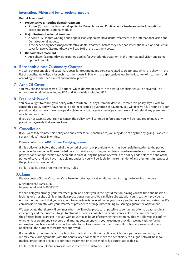#### **International Vision and Dental optional module**

#### **Dental Treatment:**

- **Preventative & Routine dental treatment**
	- A three (3) month waiting period applies for Preventative and Routine dental treatment in the International Vision and Dental optional module.
- **Major Restorative dental treatment**
	- A twelve (12) month waiting period applies for Major restorative dental treatment in the International Vision and Dental optional module.
	- If the beneficiary needs major restorative dental treatment before they have had International Vision and Dental cover for twelve (12) months, we will pay 50% of the treatment costs.
- **Orthodontic treatment**
	- An eighteen (18) month waiting period applies for Orthodontic treatment in the International Vision and Dental optional module.

# 6. Reasonable And Customary Charges

We will pay reasonable and customary costs for treatment, and services related to treatments which are shown in the list of benefits. We will pay for such treatment costs in line with the appropriate fees in the location of treatment and according to established clinical and medical practice.

# 7. Area Of Cover

You may choose between two (2) options, which determine where in the world beneficiaries will be covered. The options are: Worldwide including USA and Worldwide excluding USA.

### 8. Free Look Period

You have a right to cancel your policy within fourteen (14) days from the date you receive this policy. If you wish to cancel this policy and we have not paid a claim or issued a guarantee of payment, you will receive a full refund of your premium. Alternatively, if we have paid a claim, or issued a guarantee of payment, we will not refund any premium which has been paid.

If you do not exercise your right to cancel the policy, it will continue in force and you will be required to make any premium payments that are due to us.

### 9. Cancellation

If you want to terminate this policy and end cover for all beneficiaries, you may do so at any time by giving us at least seven (7) days' notice in writing.

#### Please contact us at **AIGCustomerCare@cigna.com**

If this policy ends before the end of the period of cover, any premium which has been paid in relation to the period after cover has ended will be refunded on a pro rata basis, so long as no claims have been made and no guarantees of payment or prior approvals have been put in place during the period of cover. If the policy ends before the end of the period of cover and you have made claims under it, you will be liable for the remainder of any premiums in respect of the policy which are unpaid.

For full details, please refer to the Policy Rules.

### 10.Claims

Please contact Cigna's Customer Care Team for prior approval for all treatment using the following numbers:

Singapore: +65 6549 3188 International: +44 1475 333420

We can help you arrange your treatment plan, and point you in the right direction, saving you the time and hassle of looking for a hospital, clinic or medical practitioner yourself. We can liaise directly with your treatment provider to ensure the treatment that you are about to undertake is covered under your policy and issue a prior authorisation. We can also liaise directly with your treatment provider to arrange direct billing by issuing a guarantee of payment.

We appreciate that there will be times when it will not be practical or possible to contact us prior to treatment in an emergency and the priority is to get treatment as soon as possible. In circumstances like these, we ask that you or the affected beneficiary get in touch with us within 48 hours of receiving the treatment. This will allow us to confirm whether your treatment is covered and arrange settlement with your treatment provider. We may ask for further information, such as a medical report in order for us to approve treatment. We will confirm approval, and where applicable, the number of treatments approved.

If a beneficiary has been taken to a hospital, medical practitioner or clinic which is not part of our network, then we may make arrangements (with the beneficiary's consent) to move the beneficiary to a Cigna network hospital, medical practitioner or clinic to continue treatment, once it is medically appropriate to do so.

For full details of our Claims process please refer to the Customer Guide.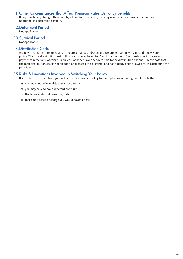# 11. Other Circumstances That Affect Premium Rates Or Policy Benefits

If any beneficiary changes their country of habitual residence, this may result in an increase to the premium or additional tax becoming payable.

### 12.Deferment Period

Not applicable.

# 13.Survival Period

Not applicable.

### 14.Distribution Costs

AIG pays a remuneration to your sales representative and/or insurance brokers when we issue and renew your policy. The total distribution cost of this product may be up to 15% of the premium. Such costs may include cash payments in the form of commission, cost of benefits and services paid to the distribution channel. Please note that the total distribution cost is not an additional cost to the customer and has already been allowed for in calculating the premium.

# 15.Risks & Limitations Involved In Switching Your Policy

If you intend to switch from your other health insurance policy to this replacement policy, do take note that:

- (a) you may not be insurable at standard terms;
- (b) you may have to pay a different premium;
- (c) the terms and conditions may defer; or
- (d) there may be fee or charge you would have to bear.